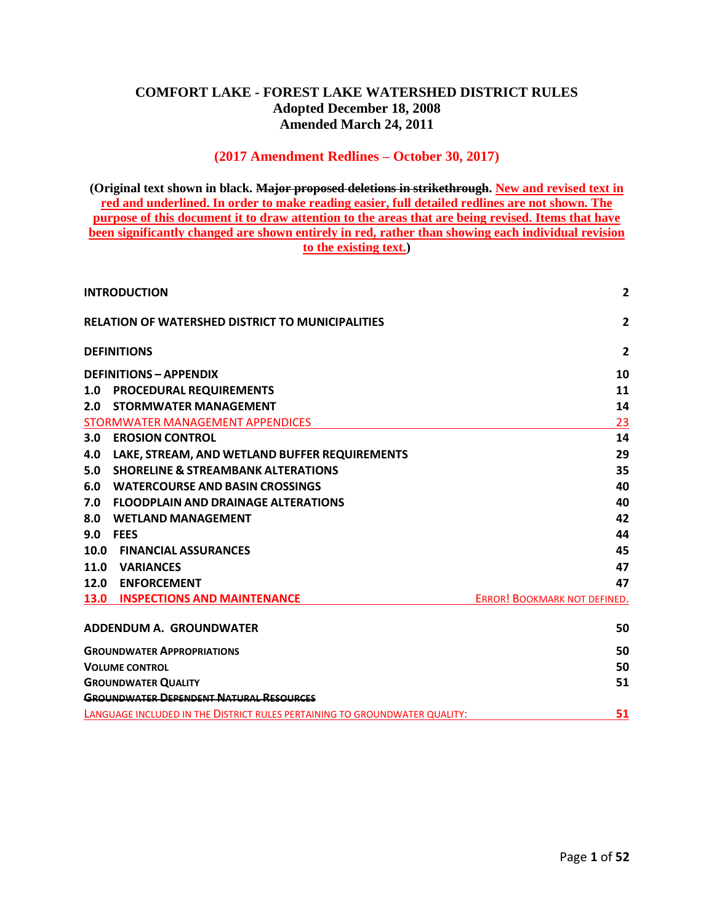#### **COMFORT LAKE - FOREST LAKE WATERSHED DISTRICT RULES Adopted December 18, 2008 Amended March 24, 2011**

#### **(2017 Amendment Redlines – October 30, 2017)**

**(Original text shown in black. Major proposed deletions in strikethrough. New and revised text in red and underlined. In order to make reading easier, full detailed redlines are not shown. The purpose of this document it to draw attention to the areas that are being revised. Items that have been significantly changed are shown entirely in red, rather than showing each individual revision to the existing text.)**

| <b>INTRODUCTION</b>                                                        | $\overline{2}$               |
|----------------------------------------------------------------------------|------------------------------|
| <b>RELATION OF WATERSHED DISTRICT TO MUNICIPALITIES</b>                    | $\overline{2}$               |
| <b>DEFINITIONS</b>                                                         | $\overline{2}$               |
| <b>DEFINITIONS - APPENDIX</b>                                              | 10                           |
| 1.0 PROCEDURAL REQUIREMENTS                                                | 11                           |
| <b>STORMWATER MANAGEMENT</b><br>2.0                                        | 14                           |
| STORMWATER MANAGEMENT APPENDICES                                           | 23                           |
| 3.0<br><b>EROSION CONTROL</b>                                              | 14                           |
| LAKE, STREAM, AND WETLAND BUFFER REQUIREMENTS<br>4.0                       | 29                           |
| 5.0<br><b>SHORELINE &amp; STREAMBANK ALTERATIONS</b>                       | 35                           |
| <b>WATERCOURSE AND BASIN CROSSINGS</b><br>6.0                              | 40                           |
| <b>FLOODPLAIN AND DRAINAGE ALTERATIONS</b><br>7.0                          | 40                           |
| 8.0<br><b>WETLAND MANAGEMENT</b>                                           | 42                           |
| 9.0<br><b>FEES</b>                                                         | 44                           |
| 10.0<br><b>FINANCIAL ASSURANCES</b>                                        | 45                           |
| 11.0 VARIANCES                                                             | 47                           |
| 12.0 ENFORCEMENT                                                           | 47                           |
| <b>13.0 INSPECTIONS AND MAINTENANCE</b>                                    | ERROR! BOOKMARK NOT DEFINED. |
| <b>ADDENDUM A. GROUNDWATER</b>                                             | 50                           |
| <b>GROUNDWATER APPROPRIATIONS</b>                                          | 50                           |
| <b>VOLUME CONTROL</b>                                                      | 50                           |
| <b>GROUNDWATER QUALITY</b>                                                 | 51                           |
| <b>GROUNDWATER DEPENDENT NATURAL RESOURCES</b>                             |                              |
| LANGUAGE INCLUDED IN THE DISTRICT RULES PERTAINING TO GROUNDWATER QUALITY: | 51                           |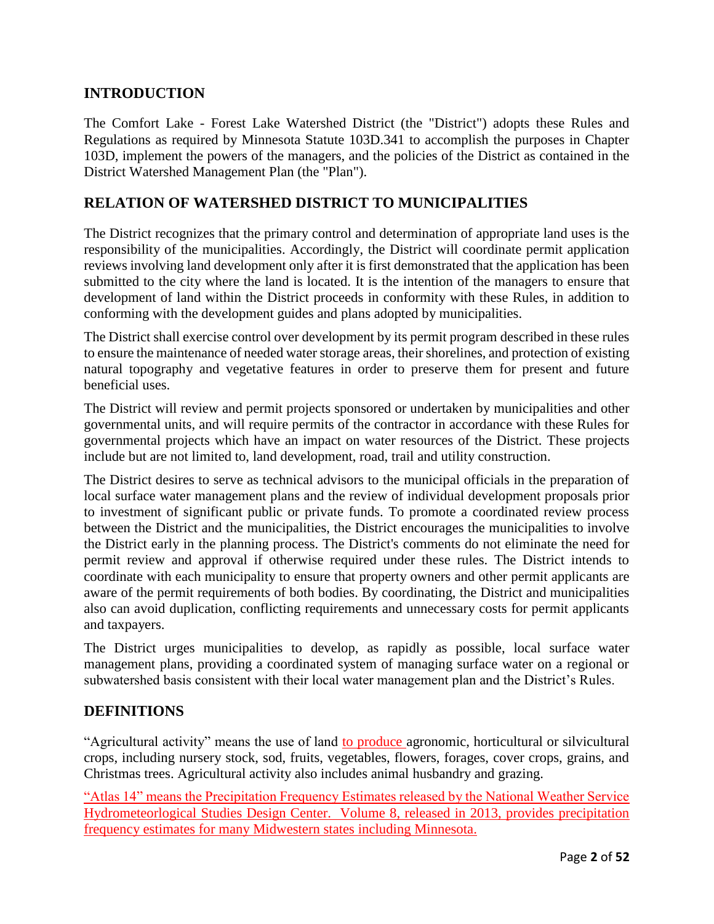## **INTRODUCTION**

The Comfort Lake - Forest Lake Watershed District (the "District") adopts these Rules and Regulations as required by Minnesota Statute 103D.341 to accomplish the purposes in Chapter 103D, implement the powers of the managers, and the policies of the District as contained in the District Watershed Management Plan (the "Plan").

## **RELATION OF WATERSHED DISTRICT TO MUNICIPALITIES**

The District recognizes that the primary control and determination of appropriate land uses is the responsibility of the municipalities. Accordingly, the District will coordinate permit application reviews involving land development only after it is first demonstrated that the application has been submitted to the city where the land is located. It is the intention of the managers to ensure that development of land within the District proceeds in conformity with these Rules, in addition to conforming with the development guides and plans adopted by municipalities.

The District shall exercise control over development by its permit program described in these rules to ensure the maintenance of needed water storage areas, their shorelines, and protection of existing natural topography and vegetative features in order to preserve them for present and future beneficial uses.

The District will review and permit projects sponsored or undertaken by municipalities and other governmental units, and will require permits of the contractor in accordance with these Rules for governmental projects which have an impact on water resources of the District. These projects include but are not limited to, land development, road, trail and utility construction.

The District desires to serve as technical advisors to the municipal officials in the preparation of local surface water management plans and the review of individual development proposals prior to investment of significant public or private funds. To promote a coordinated review process between the District and the municipalities, the District encourages the municipalities to involve the District early in the planning process. The District's comments do not eliminate the need for permit review and approval if otherwise required under these rules. The District intends to coordinate with each municipality to ensure that property owners and other permit applicants are aware of the permit requirements of both bodies. By coordinating, the District and municipalities also can avoid duplication, conflicting requirements and unnecessary costs for permit applicants and taxpayers.

The District urges municipalities to develop, as rapidly as possible, local surface water management plans, providing a coordinated system of managing surface water on a regional or subwatershed basis consistent with their local water management plan and the District's Rules.

## **DEFINITIONS**

"Agricultural activity" means the use of land to produce agronomic, horticultural or silvicultural crops, including nursery stock, sod, fruits, vegetables, flowers, forages, cover crops, grains, and Christmas trees. Agricultural activity also includes animal husbandry and grazing.

"Atlas 14" means the Precipitation Frequency Estimates released by the National Weather Service Hydrometeorlogical Studies Design Center. Volume 8, released in 2013, provides precipitation frequency estimates for many Midwestern states including Minnesota.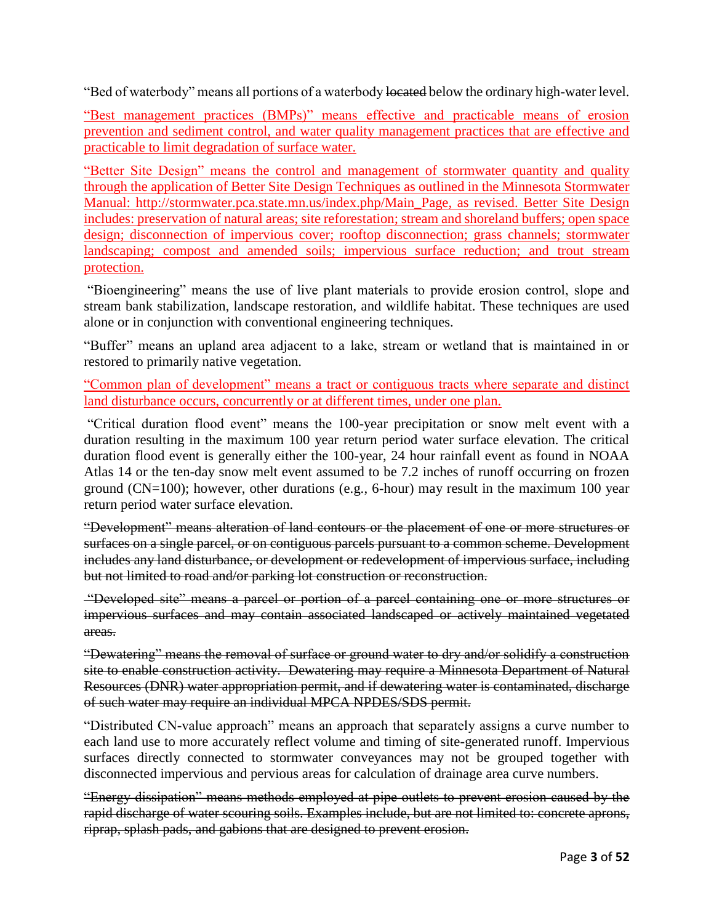"Bed of waterbody" means all portions of a waterbody located below the ordinary high-water level.

"Best management practices (BMPs)" means effective and practicable means of erosion prevention and sediment control, and water quality management practices that are effective and practicable to limit degradation of surface water.

"Better Site Design" means the control and management of stormwater quantity and quality through the application of Better Site Design Techniques as outlined in the Minnesota Stormwater Manual: [http://stormwater.pca.state.mn.us/index.php/Main\\_Page,](http://stormwater.pca.state.mn.us/index.php/Main_Page) as revised. Better Site Design includes: preservation of natural areas; site reforestation; stream and shoreland buffers; open space design; disconnection of impervious cover; rooftop disconnection; grass channels; stormwater landscaping; compost and amended soils; impervious surface reduction; and trout stream protection.

"Bioengineering" means the use of live plant materials to provide erosion control, slope and stream bank stabilization, landscape restoration, and wildlife habitat. These techniques are used alone or in conjunction with conventional engineering techniques.

"Buffer" means an upland area adjacent to a lake, stream or wetland that is maintained in or restored to primarily native vegetation.

"Common plan of development" means a tract or contiguous tracts where separate and distinct land disturbance occurs, concurrently or at different times, under one plan.

"Critical duration flood event" means the 100-year precipitation or snow melt event with a duration resulting in the maximum 100 year return period water surface elevation. The critical duration flood event is generally either the 100-year, 24 hour rainfall event as found in NOAA Atlas 14 or the ten-day snow melt event assumed to be 7.2 inches of runoff occurring on frozen ground (CN=100); however, other durations (e.g., 6-hour) may result in the maximum 100 year return period water surface elevation.

"Development" means alteration of land contours or the placement of one or more structures or surfaces on a single parcel, or on contiguous parcels pursuant to a common scheme. Development includes any land disturbance, or development or redevelopment of impervious surface, including but not limited to road and/or parking lot construction or reconstruction.

"Developed site" means a parcel or portion of a parcel containing one or more structures or impervious surfaces and may contain associated landscaped or actively maintained vegetated areas.

"Dewatering" means the removal of surface or ground water to dry and/or solidify a construction site to enable construction activity. Dewatering may require a Minnesota Department of Natural Resources (DNR) water appropriation permit, and if dewatering water is contaminated, discharge of such water may require an individual MPCA NPDES/SDS permit.

"Distributed CN-value approach" means an approach that separately assigns a curve number to each land use to more accurately reflect volume and timing of site-generated runoff. Impervious surfaces directly connected to stormwater conveyances may not be grouped together with disconnected impervious and pervious areas for calculation of drainage area curve numbers.

"Energy dissipation" means methods employed at pipe outlets to prevent erosion caused by the rapid discharge of water scouring soils. Examples include, but are not limited to: concrete aprons, riprap, splash pads, and gabions that are designed to prevent erosion.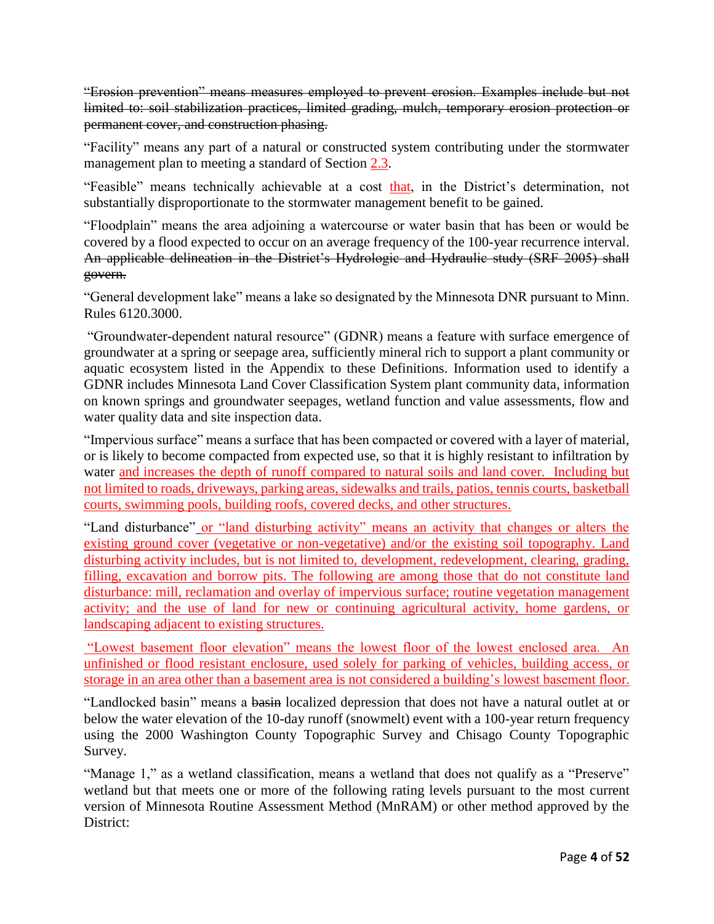"Erosion prevention" means measures employed to prevent erosion. Examples include but not limited to: soil stabilization practices, limited grading, mulch, temporary erosion protection or permanent cover, and construction phasing.

"Facility" means any part of a natural or constructed system contributing under the stormwater management plan to meeting a standard of Section 2.3.

"Feasible" means technically achievable at a cost that, in the District's determination, not substantially disproportionate to the stormwater management benefit to be gained.

"Floodplain" means the area adjoining a watercourse or water basin that has been or would be covered by a flood expected to occur on an average frequency of the 100-year recurrence interval. An applicable delineation in the District's Hydrologic and Hydraulic study (SRF 2005) shall govern.

"General development lake" means a lake so designated by the Minnesota DNR pursuant to Minn. Rules 6120.3000.

"Groundwater-dependent natural resource" (GDNR) means a feature with surface emergence of groundwater at a spring or seepage area, sufficiently mineral rich to support a plant community or aquatic ecosystem listed in the Appendix to these Definitions. Information used to identify a GDNR includes Minnesota Land Cover Classification System plant community data, information on known springs and groundwater seepages, wetland function and value assessments, flow and water quality data and site inspection data.

"Impervious surface" means a surface that has been compacted or covered with a layer of material, or is likely to become compacted from expected use, so that it is highly resistant to infiltration by water and increases the depth of runoff compared to natural soils and land cover. Including but not limited to roads, driveways, parking areas, sidewalks and trails, patios, tennis courts, basketball courts, swimming pools, building roofs, covered decks, and other structures.

"Land disturbance" or "land disturbing activity" means an activity that changes or alters the existing ground cover (vegetative or non-vegetative) and/or the existing soil topography. Land disturbing activity includes, but is not limited to, development, redevelopment, clearing, grading, filling, excavation and borrow pits. The following are among those that do not constitute land disturbance: mill, reclamation and overlay of impervious surface; routine vegetation management activity; and the use of land for new or continuing agricultural activity, home gardens, or landscaping adjacent to existing structures.

"Lowest basement floor elevation" means the lowest floor of the lowest enclosed area. An unfinished or flood resistant enclosure, used solely for parking of vehicles, building access, or storage in an area other than a basement area is not considered a building's lowest basement floor.

"Landlocked basin" means a basin localized depression that does not have a natural outlet at or below the water elevation of the 10-day runoff (snowmelt) event with a 100-year return frequency using the 2000 Washington County Topographic Survey and Chisago County Topographic Survey.

"Manage 1," as a wetland classification, means a wetland that does not qualify as a "Preserve" wetland but that meets one or more of the following rating levels pursuant to the most current version of Minnesota Routine Assessment Method (MnRAM) or other method approved by the District: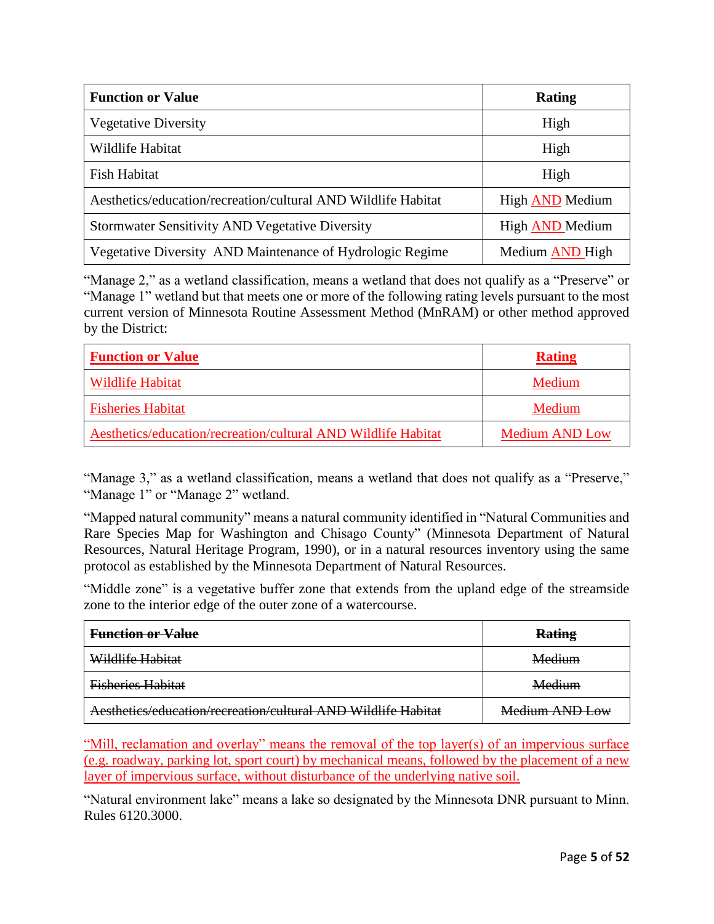| <b>Function or Value</b>                                      | <b>Rating</b>   |
|---------------------------------------------------------------|-----------------|
| <b>Vegetative Diversity</b>                                   | High            |
| Wildlife Habitat                                              | High            |
| Fish Habitat                                                  | High            |
| Aesthetics/education/recreation/cultural AND Wildlife Habitat | High AND Medium |
| <b>Stormwater Sensitivity AND Vegetative Diversity</b>        | High AND Medium |
| Vegetative Diversity AND Maintenance of Hydrologic Regime     | Medium AND High |

"Manage 2," as a wetland classification, means a wetland that does not qualify as a "Preserve" or "Manage 1" wetland but that meets one or more of the following rating levels pursuant to the most current version of Minnesota Routine Assessment Method (MnRAM) or other method approved by the District:

| <b>Function or Value</b>                                      | <b>Rating</b>         |
|---------------------------------------------------------------|-----------------------|
| <b>Wildlife Habitat</b>                                       | Medium                |
| <b>Fisheries Habitat</b>                                      | Medium                |
| Aesthetics/education/recreation/cultural AND Wildlife Habitat | <b>Medium AND Low</b> |

"Manage 3," as a wetland classification, means a wetland that does not qualify as a "Preserve," "Manage 1" or "Manage 2" wetland.

"Mapped natural community" means a natural community identified in "Natural Communities and Rare Species Map for Washington and Chisago County" (Minnesota Department of Natural Resources, Natural Heritage Program, 1990), or in a natural resources inventory using the same protocol as established by the Minnesota Department of Natural Resources.

"Middle zone" is a vegetative buffer zone that extends from the upland edge of the streamside zone to the interior edge of the outer zone of a watercourse.

| <b>Function or Value</b>                                      | <b>Rating</b>  |
|---------------------------------------------------------------|----------------|
| Wildlife Habitat                                              | Medium         |
| <b>Fisheries Habitat</b>                                      | Medium         |
| Aesthetics/education/recreation/cultural AND Wildlife Habitat | Medium AND Low |

"Mill, reclamation and overlay" means the removal of the top layer(s) of an impervious surface (e.g. roadway, parking lot, sport court) by mechanical means, followed by the placement of a new layer of impervious surface, without disturbance of the underlying native soil.

"Natural environment lake" means a lake so designated by the Minnesota DNR pursuant to Minn. Rules 6120.3000.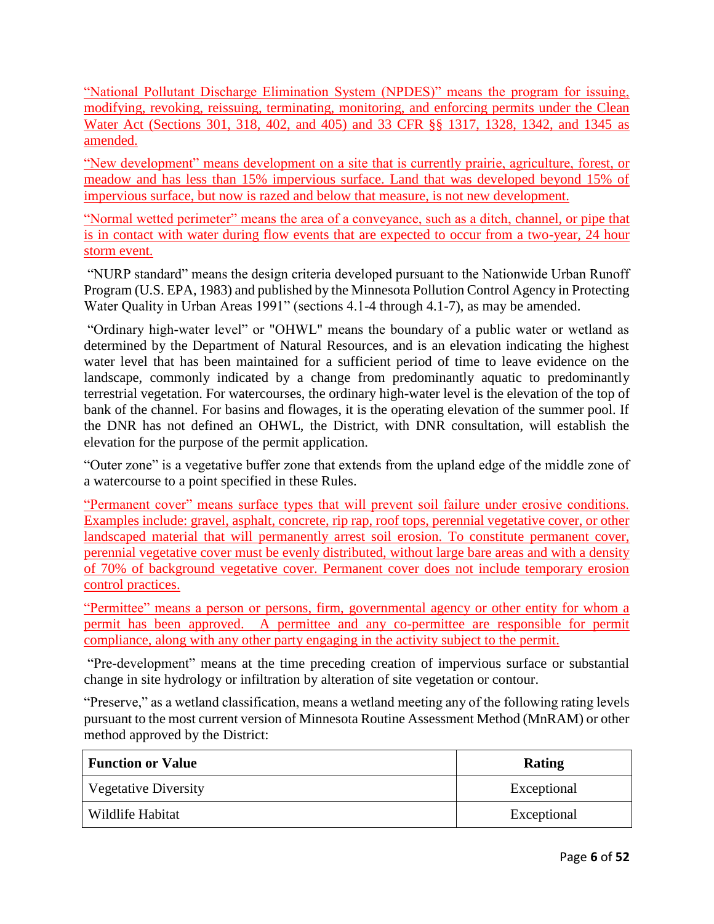"National Pollutant Discharge Elimination System (NPDES)" means the program for issuing, modifying, revoking, reissuing, terminating, monitoring, and enforcing permits under the Clean Water Act (Sections 301, 318, 402, and 405) and 33 CFR §§ 1317, 1328, 1342, and 1345 as amended.

"New development" means development on a site that is currently prairie, agriculture, forest, or meadow and has less than 15% impervious surface. Land that was developed beyond 15% of impervious surface, but now is razed and below that measure, is not new development.

"Normal wetted perimeter" means the area of a conveyance, such as a ditch, channel, or pipe that is in contact with water during flow events that are expected to occur from a two-year, 24 hour storm event.

"NURP standard" means the design criteria developed pursuant to the Nationwide Urban Runoff Program (U.S. EPA, 1983) and published by the Minnesota Pollution Control Agency in Protecting Water Quality in Urban Areas 1991" (sections 4.1-4 through 4.1-7), as may be amended.

"Ordinary high-water level" or "OHWL" means the boundary of a public water or wetland as determined by the Department of Natural Resources, and is an elevation indicating the highest water level that has been maintained for a sufficient period of time to leave evidence on the landscape, commonly indicated by a change from predominantly aquatic to predominantly terrestrial vegetation. For watercourses, the ordinary high-water level is the elevation of the top of bank of the channel. For basins and flowages, it is the operating elevation of the summer pool. If the DNR has not defined an OHWL, the District, with DNR consultation, will establish the elevation for the purpose of the permit application.

"Outer zone" is a vegetative buffer zone that extends from the upland edge of the middle zone of a watercourse to a point specified in these Rules.

"Permanent cover" means surface types that will prevent soil failure under erosive conditions. Examples include: gravel, asphalt, concrete, rip rap, roof tops, perennial vegetative cover, or other landscaped material that will permanently arrest soil erosion. To constitute permanent cover, perennial vegetative cover must be evenly distributed, without large bare areas and with a density of 70% of background vegetative cover. Permanent cover does not include temporary erosion control practices.

"Permittee" means a person or persons, firm, governmental agency or other entity for whom a permit has been approved. A permittee and any co-permittee are responsible for permit compliance, along with any other party engaging in the activity subject to the permit.

"Pre-development" means at the time preceding creation of impervious surface or substantial change in site hydrology or infiltration by alteration of site vegetation or contour.

"Preserve," as a wetland classification, means a wetland meeting any of the following rating levels pursuant to the most current version of Minnesota Routine Assessment Method (MnRAM) or other method approved by the District:

| <b>Function or Value</b> | Rating      |  |
|--------------------------|-------------|--|
| Vegetative Diversity     | Exceptional |  |
| Wildlife Habitat         | Exceptional |  |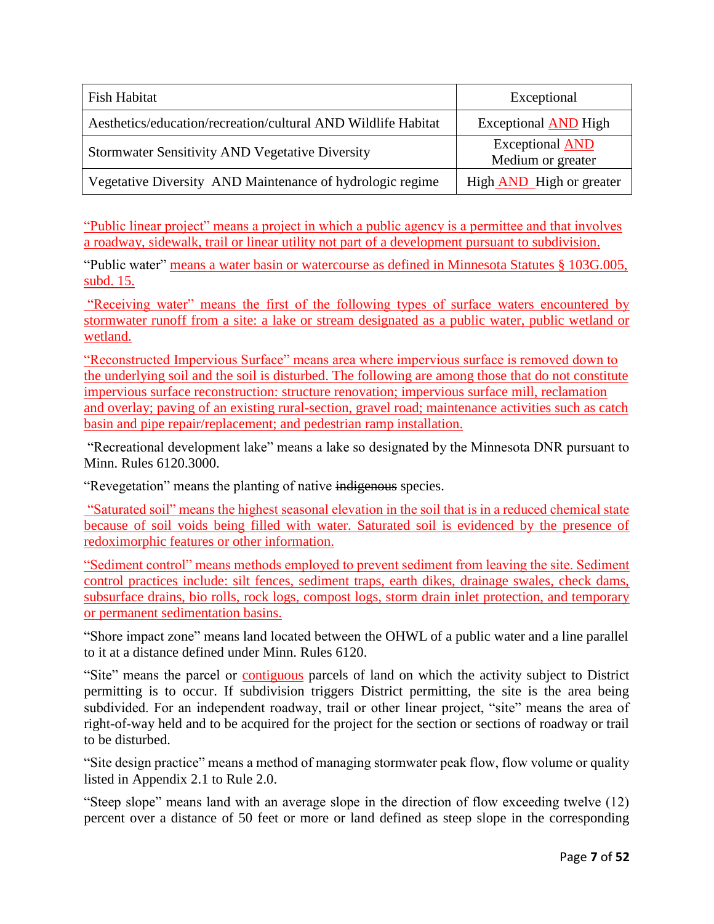| Fish Habitat                                                  | Exceptional                                 |
|---------------------------------------------------------------|---------------------------------------------|
| Aesthetics/education/recreation/cultural AND Wildlife Habitat | <b>Exceptional AND High</b>                 |
| <b>Stormwater Sensitivity AND Vegetative Diversity</b>        | <b>Exceptional AND</b><br>Medium or greater |
| Vegetative Diversity AND Maintenance of hydrologic regime     | High <b>AND</b> High or greater             |

"Public linear project" means a project in which a public agency is a permittee and that involves a roadway, sidewalk, trail or linear utility not part of a development pursuant to subdivision.

"Public water" means a water basin or watercourse as defined in Minnesota Statutes § 103G.005, subd. 15.

"Receiving water" means the first of the following types of surface waters encountered by stormwater runoff from a site: a lake or stream designated as a public water, public wetland or wetland.

"Reconstructed Impervious Surface" means area where impervious surface is removed down to the underlying soil and the soil is disturbed. The following are among those that do not constitute impervious surface reconstruction: structure renovation; impervious surface mill, reclamation and overlay; paving of an existing rural-section, gravel road; maintenance activities such as catch basin and pipe repair/replacement; and pedestrian ramp installation.

"Recreational development lake" means a lake so designated by the Minnesota DNR pursuant to Minn. Rules 6120.3000.

"Revegetation" means the planting of native indigenous species.

"Saturated soil" means the highest seasonal elevation in the soil that is in a reduced chemical state because of soil voids being filled with water. Saturated soil is evidenced by the presence of redoximorphic features or other information.

"Sediment control" means methods employed to prevent sediment from leaving the site. Sediment control practices include: silt fences, sediment traps, earth dikes, drainage swales, check dams, subsurface drains, bio rolls, rock logs, compost logs, storm drain inlet protection, and temporary or permanent sedimentation basins.

"Shore impact zone" means land located between the OHWL of a public water and a line parallel to it at a distance defined under Minn. Rules 6120.

"Site" means the parcel or contiguous parcels of land on which the activity subject to District permitting is to occur. If subdivision triggers District permitting, the site is the area being subdivided. For an independent roadway, trail or other linear project, "site" means the area of right-of-way held and to be acquired for the project for the section or sections of roadway or trail to be disturbed.

"Site design practice" means a method of managing stormwater peak flow, flow volume or quality listed in Appendix 2.1 to Rule 2.0.

"Steep slope" means land with an average slope in the direction of flow exceeding twelve (12) percent over a distance of 50 feet or more or land defined as steep slope in the corresponding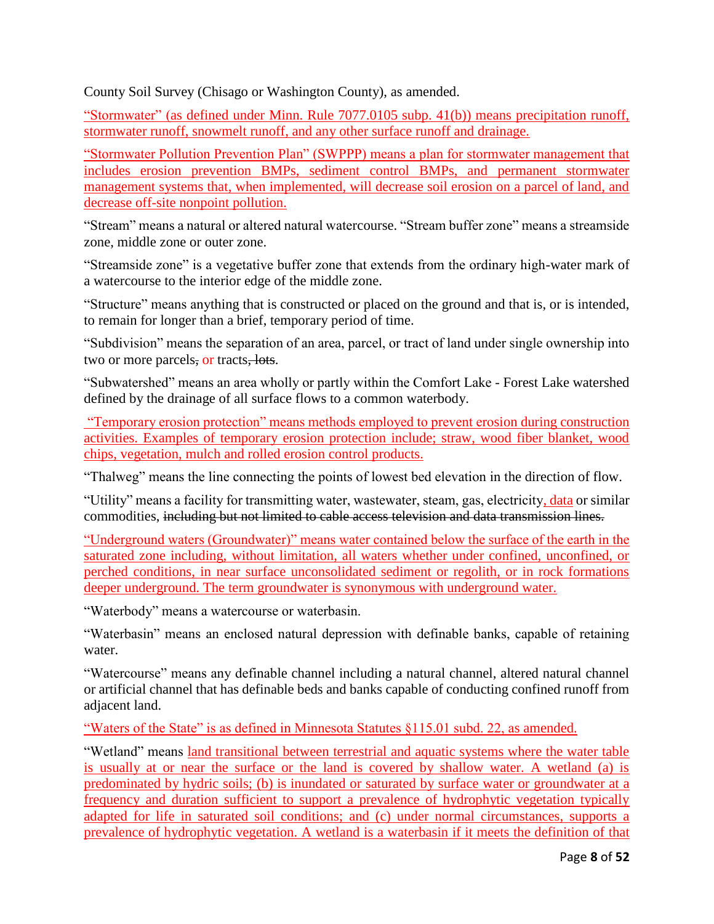County Soil Survey (Chisago or Washington County), as amended.

"Stormwater" (as defined under Minn. Rule 7077.0105 subp. 41(b)) means precipitation runoff, stormwater runoff, snowmelt runoff, and any other surface runoff and drainage.

"Stormwater Pollution Prevention Plan" (SWPPP) means a plan for stormwater management that includes erosion prevention BMPs, sediment control BMPs, and permanent stormwater management systems that, when implemented, will decrease soil erosion on a parcel of land, and decrease off-site nonpoint pollution.

"Stream" means a natural or altered natural watercourse. "Stream buffer zone" means a streamside zone, middle zone or outer zone.

"Streamside zone" is a vegetative buffer zone that extends from the ordinary high-water mark of a watercourse to the interior edge of the middle zone.

"Structure" means anything that is constructed or placed on the ground and that is, or is intended, to remain for longer than a brief, temporary period of time.

"Subdivision" means the separation of an area, parcel, or tract of land under single ownership into two or more parcels, or tracts, lots.

"Subwatershed" means an area wholly or partly within the Comfort Lake - Forest Lake watershed defined by the drainage of all surface flows to a common waterbody.

"Temporary erosion protection" means methods employed to prevent erosion during construction activities. Examples of temporary erosion protection include; straw, wood fiber blanket, wood chips, vegetation, mulch and rolled erosion control products.

"Thalweg" means the line connecting the points of lowest bed elevation in the direction of flow.

"Utility" means a facility for transmitting water, wastewater, steam, gas, electricity, data or similar commodities, including but not limited to cable access television and data transmission lines.

"Underground waters (Groundwater)" means water contained below the surface of the earth in the saturated zone including, without limitation, all waters whether under confined, unconfined, or perched conditions, in near surface unconsolidated sediment or regolith, or in rock formations deeper underground. The term groundwater is synonymous with underground water.

"Waterbody" means a watercourse or waterbasin.

"Waterbasin" means an enclosed natural depression with definable banks, capable of retaining water.

"Watercourse" means any definable channel including a natural channel, altered natural channel or artificial channel that has definable beds and banks capable of conducting confined runoff from adjacent land.

"Waters of the State" is as defined in Minnesota Statutes §115.01 subd. 22, as amended.

"Wetland" means land transitional between terrestrial and aquatic systems where the water table is usually at or near the surface or the land is covered by shallow water. A wetland (a) is predominated by hydric soils; (b) is inundated or saturated by surface water or groundwater at a frequency and duration sufficient to support a prevalence of hydrophytic vegetation typically adapted for life in saturated soil conditions; and (c) under normal circumstances, supports a prevalence of hydrophytic vegetation. A wetland is a waterbasin if it meets the definition of that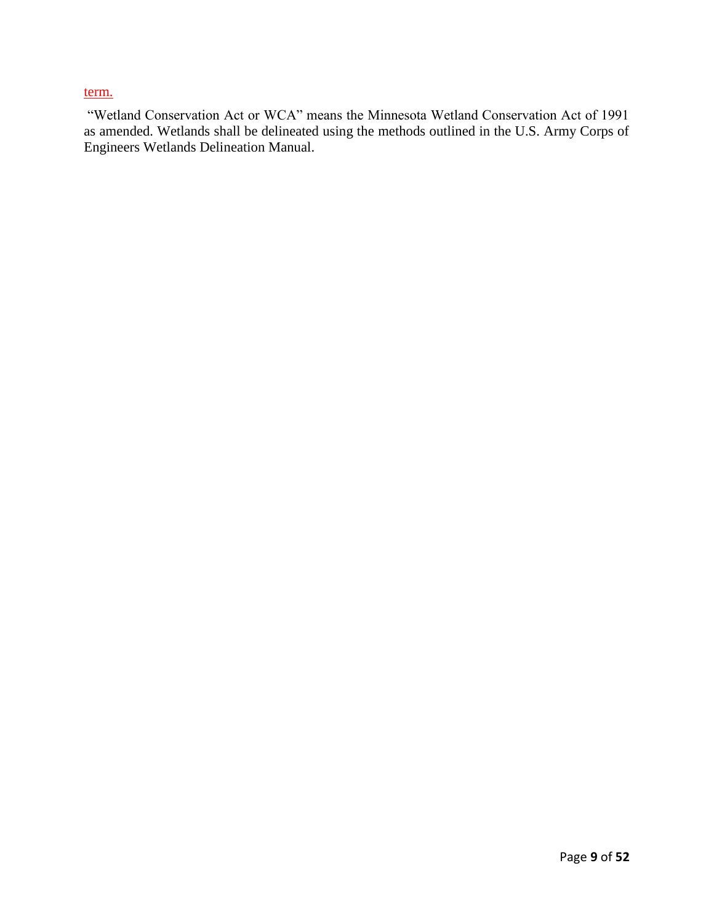#### term.

"Wetland Conservation Act or WCA" means the Minnesota Wetland Conservation Act of 1991 as amended. Wetlands shall be delineated using the methods outlined in the U.S. Army Corps of Engineers Wetlands Delineation Manual.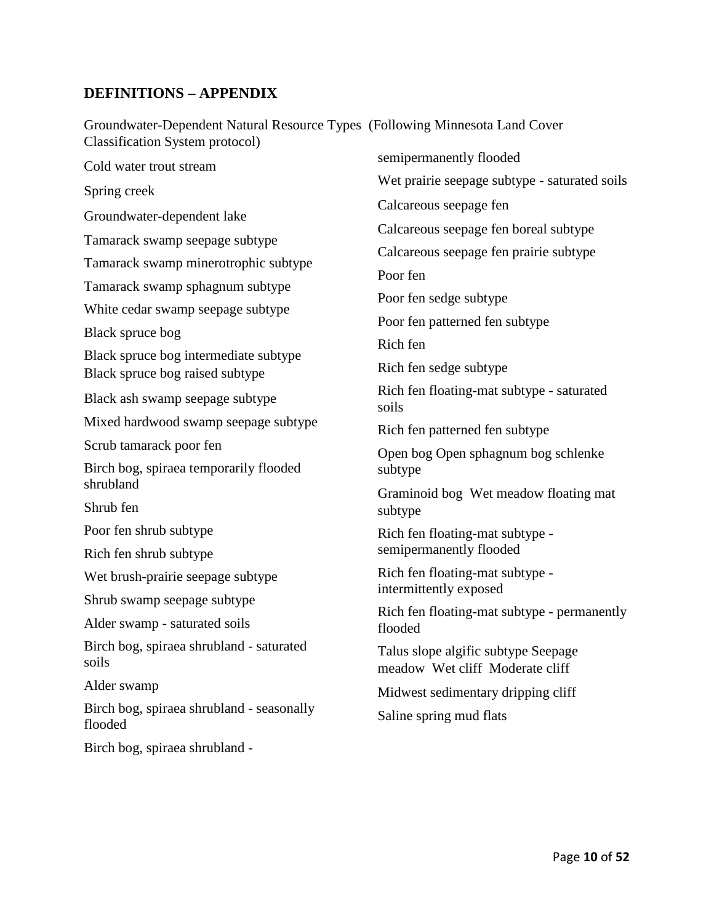## **DEFINITIONS – APPENDIX**

Groundwater-Dependent Natural Resource Types (Following Minnesota Land Cover Classification System protocol)

Cold water trout stream Spring creek Groundwater-dependent lake Tamarack swamp seepage subtype Tamarack swamp minerotrophic subtype Tamarack swamp sphagnum subtype White cedar swamp seepage subtype Black spruce bog Black spruce bog intermediate subtype Black spruce bog raised subtype Black ash swamp seepage subtype Mixed hardwood swamp seepage subtype Scrub tamarack poor fen Birch bog, spiraea temporarily flooded shrubland Shrub fen Poor fen shrub subtype Rich fen shrub subtype Wet brush-prairie seepage subtype Shrub swamp seepage subtype Alder swamp - saturated soils Birch bog, spiraea shrubland - saturated soils Alder swamp Birch bog, spiraea shrubland - seasonally flooded semipermanently flooded Wet prairie seepage subtype - saturated soils Calcareous seepage fen Calcareous seepage fen boreal subtype Calcareous seepage fen prairie subtype Poor fen Poor fen sedge subtype Poor fen patterned fen subtype Rich fen Rich fen sedge subtype Rich fen floating-mat subtype - saturated soils Rich fen patterned fen subtype Open bog Open sphagnum bog schlenke subtype Graminoid bog Wet meadow floating mat subtype Rich fen floating-mat subtype semipermanently flooded Rich fen floating-mat subtype intermittently exposed Rich fen floating-mat subtype - permanently flooded Talus slope algific subtype Seepage meadow Wet cliff Moderate cliff Midwest sedimentary dripping cliff Saline spring mud flats

Birch bog, spiraea shrubland -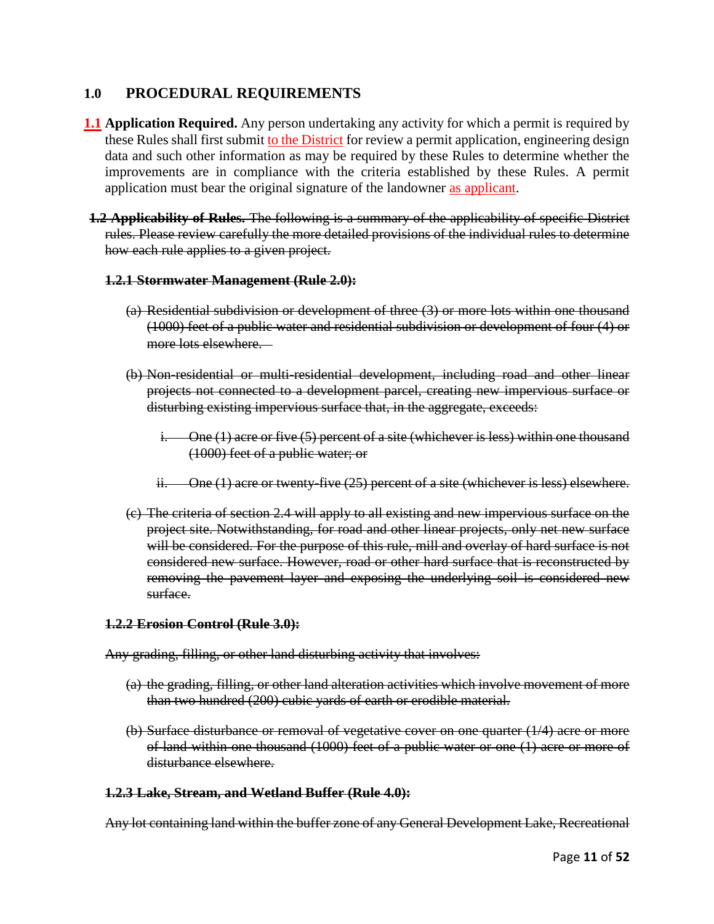## **1.0 PROCEDURAL REQUIREMENTS**

- **1.1 Application Required.** Any person undertaking any activity for which a permit is required by these Rules shall first submit to the District for review a permit application, engineering design data and such other information as may be required by these Rules to determine whether the improvements are in compliance with the criteria established by these Rules. A permit application must bear the original signature of the landowner as applicant.
- **1.2 Applicability of Rules.** The following is a summary of the applicability of specific District rules. Please review carefully the more detailed provisions of the individual rules to determine how each rule applies to a given project.

#### **1.2.1 Stormwater Management (Rule 2.0):**

- (a) Residential subdivision or development of three (3) or more lots within one thousand (1000) feet of a public water and residential subdivision or development of four (4) or more lots elsewhere.
- (b) Non-residential or multi-residential development, including road and other linear projects not connected to a development parcel, creating new impervious surface or disturbing existing impervious surface that, in the aggregate, exceeds:
	- i. One (1) acre or five (5) percent of a site (whichever is less) within one thousand (1000) feet of a public water; or
	- ii. One (1) acre or twenty-five (25) percent of a site (whichever is less) elsewhere.
- (c) The criteria of section 2.4 will apply to all existing and new impervious surface on the project site. Notwithstanding, for road and other linear projects, only net new surface will be considered. For the purpose of this rule, mill and overlay of hard surface is not considered new surface. However, road or other hard surface that is reconstructed by removing the pavement layer and exposing the underlying soil is considered new surface.

#### **1.2.2 Erosion Control (Rule 3.0):**

Any grading, filling, or other land disturbing activity that involves:

- (a) the grading, filling, or other land alteration activities which involve movement of more than two hundred (200) cubic yards of earth or erodible material.
- (b) Surface disturbance or removal of vegetative cover on one quarter (1/4) acre or more of land within one thousand (1000) feet of a public water or one (1) acre or more of disturbance elsewhere.

#### **1.2.3 Lake, Stream, and Wetland Buffer (Rule 4.0):**

Any lot containing land within the buffer zone of any General Development Lake, Recreational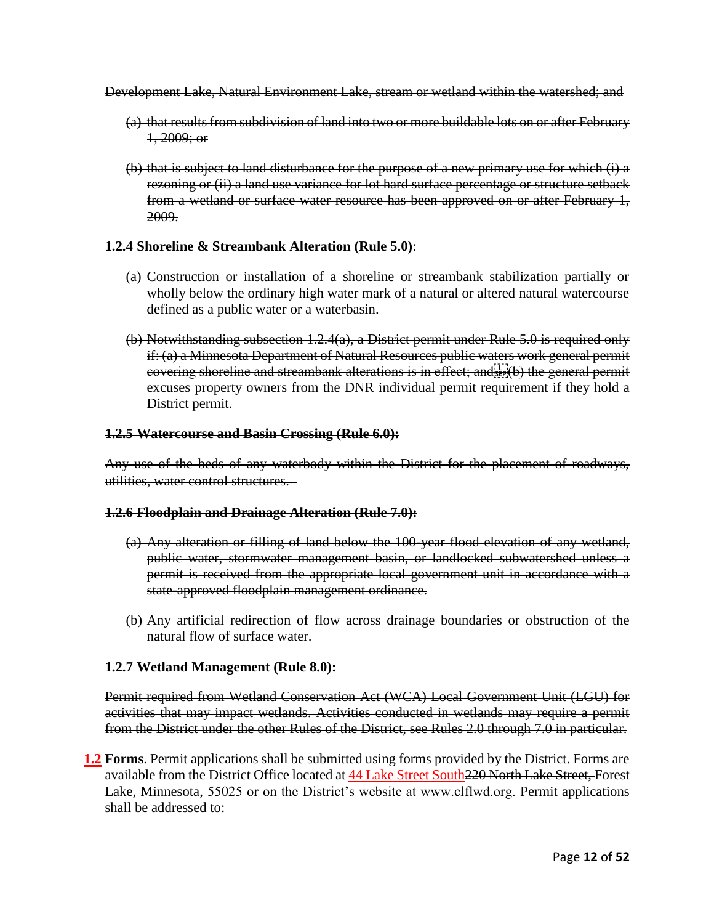Development Lake, Natural Environment Lake, stream or wetland within the watershed; and

- (a) that results from subdivision of land into two or more buildable lots on or after February  $1,2009$ ; or
- (b) that is subject to land disturbance for the purpose of a new primary use for which (i) a rezoning or (ii) a land use variance for lot hard surface percentage or structure setback from a wetland or surface water resource has been approved on or after February 1, 2009.

#### **1.2.4 Shoreline & Streambank Alteration (Rule 5.0)**:

- (a) Construction or installation of a shoreline or streambank stabilization partially or wholly below the ordinary high water mark of a natural or altered natural watercourse defined as a public water or a waterbasin.
- (b) Notwithstanding subsection 1.2.4(a), a District permit under Rule 5.0 is required only if: (a) a Minnesota Department of Natural Resources public waters work general permit covering shoreline and streambank alterations is in effect; and strift) the general permit excuses property owners from the DNR individual permit requirement if they hold a District permit.

#### **1.2.5 Watercourse and Basin Crossing (Rule 6.0):**

Any use of the beds of any waterbody within the District for the placement of roadways, utilities, water control structures.

#### **1.2.6 Floodplain and Drainage Alteration (Rule 7.0):**

- (a) Any alteration or filling of land below the 100-year flood elevation of any wetland, public water, stormwater management basin, or landlocked subwatershed unless a permit is received from the appropriate local government unit in accordance with a state-approved floodplain management ordinance.
- (b) Any artificial redirection of flow across drainage boundaries or obstruction of the natural flow of surface water.

#### **1.2.7 Wetland Management (Rule 8.0):**

Permit required from Wetland Conservation Act (WCA) Local Government Unit (LGU) for activities that may impact wetlands. Activities conducted in wetlands may require a permit from the District under the other Rules of the District, see Rules 2.0 through 7.0 in particular.

**1.2 Forms**. Permit applications shall be submitted using forms provided by the District. Forms are available from the District Office located at 44 Lake Street South 220 North Lake Street, Forest Lake, Minnesota, 55025 or on the District's website at www.clflwd.org. Permit applications shall be addressed to: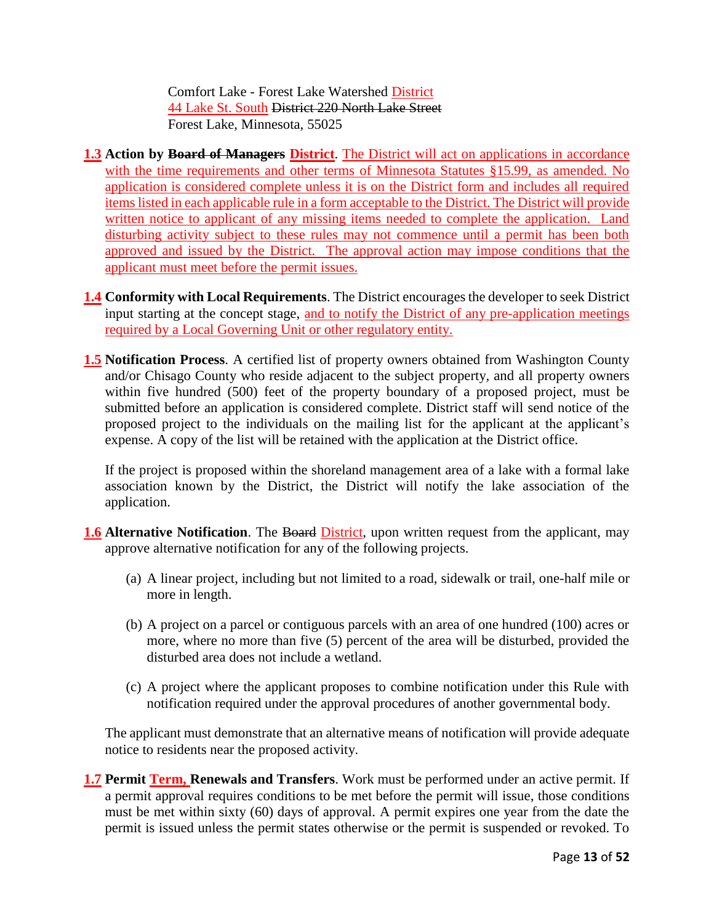Comfort Lake - Forest Lake Watershed District 44 Lake St. South District 220 North Lake Street Forest Lake, Minnesota, 55025

- **1.3 Action by Board of Managers District**. The District will act on applications in accordance with the time requirements and other terms of Minnesota Statutes §15.99, as amended. No application is considered complete unless it is on the District form and includes all required items listed in each applicable rule in a form acceptable to the District. The District will provide written notice to applicant of any missing items needed to complete the application. Land disturbing activity subject to these rules may not commence until a permit has been both approved and issued by the District. The approval action may impose conditions that the applicant must meet before the permit issues.
- **1.4 Conformity with Local Requirements**. The District encourages the developer to seek District input starting at the concept stage, and to notify the District of any pre-application meetings required by a Local Governing Unit or other regulatory entity.
- **1.5 Notification Process**. A certified list of property owners obtained from Washington County and/or Chisago County who reside adjacent to the subject property, and all property owners within five hundred (500) feet of the property boundary of a proposed project, must be submitted before an application is considered complete. District staff will send notice of the proposed project to the individuals on the mailing list for the applicant at the applicant's expense. A copy of the list will be retained with the application at the District office.

If the project is proposed within the shoreland management area of a lake with a formal lake association known by the District, the District will notify the lake association of the application.

- **1.6 Alternative Notification**. The Board District, upon written request from the applicant, may approve alternative notification for any of the following projects.
	- (a) A linear project, including but not limited to a road, sidewalk or trail, one-half mile or more in length.
	- (b) A project on a parcel or contiguous parcels with an area of one hundred (100) acres or more, where no more than five (5) percent of the area will be disturbed, provided the disturbed area does not include a wetland.
	- (c) A project where the applicant proposes to combine notification under this Rule with notification required under the approval procedures of another governmental body.

The applicant must demonstrate that an alternative means of notification will provide adequate notice to residents near the proposed activity.

1.7 Permit Term, Renewals and Transfers. Work must be performed under an active permit. If a permit approval requires conditions to be met before the permit will issue, those conditions must be met within sixty (60) days of approval. A permit expires one year from the date the permit is issued unless the permit states otherwise or the permit is suspended or revoked. To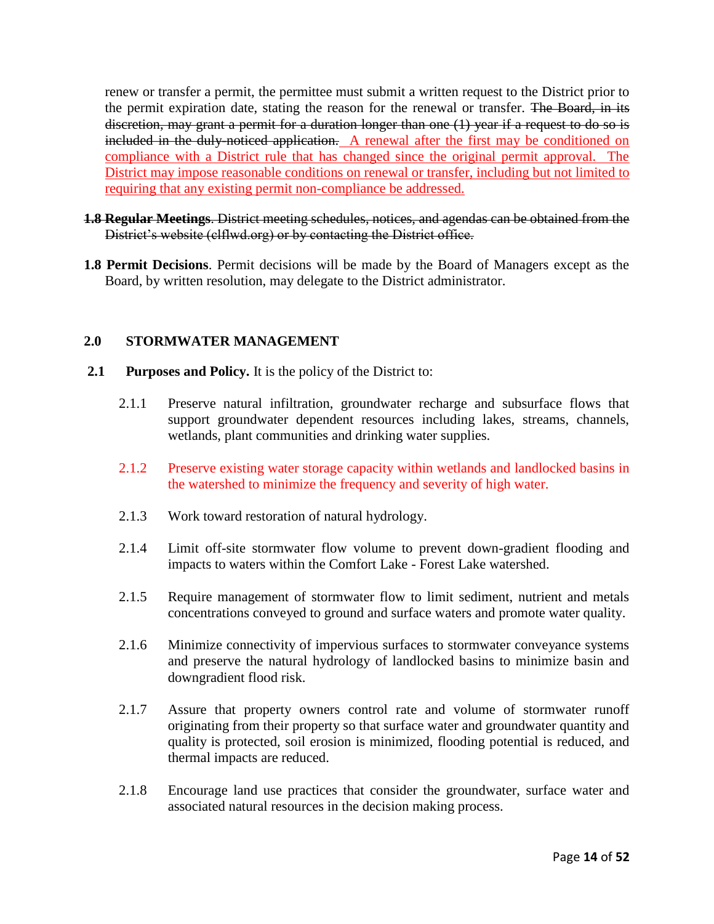renew or transfer a permit, the permittee must submit a written request to the District prior to the permit expiration date, stating the reason for the renewal or transfer. The Board, in its discretion, may grant a permit for a duration longer than one (1) year if a request to do so is included in the duly-noticed application. A renewal after the first may be conditioned on compliance with a District rule that has changed since the original permit approval. The District may impose reasonable conditions on renewal or transfer, including but not limited to requiring that any existing permit non-compliance be addressed.

- **1.8 Regular Meetings**. District meeting schedules, notices, and agendas can be obtained from the District's website (clflwd.org) or by contacting the District office.
- **1.8 Permit Decisions**. Permit decisions will be made by the Board of Managers except as the Board, by written resolution, may delegate to the District administrator.

#### **2.0 STORMWATER MANAGEMENT**

- **2.1 Purposes and Policy.** It is the policy of the District to:
	- 2.1.1 Preserve natural infiltration, groundwater recharge and subsurface flows that support groundwater dependent resources including lakes, streams, channels, wetlands, plant communities and drinking water supplies.
	- 2.1.2 Preserve existing water storage capacity within wetlands and landlocked basins in the watershed to minimize the frequency and severity of high water.
	- 2.1.3 Work toward restoration of natural hydrology.
	- 2.1.4 Limit off-site stormwater flow volume to prevent down-gradient flooding and impacts to waters within the Comfort Lake - Forest Lake watershed.
	- 2.1.5 Require management of stormwater flow to limit sediment, nutrient and metals concentrations conveyed to ground and surface waters and promote water quality.
	- 2.1.6 Minimize connectivity of impervious surfaces to stormwater conveyance systems and preserve the natural hydrology of landlocked basins to minimize basin and downgradient flood risk.
	- 2.1.7 Assure that property owners control rate and volume of stormwater runoff originating from their property so that surface water and groundwater quantity and quality is protected, soil erosion is minimized, flooding potential is reduced, and thermal impacts are reduced.
	- 2.1.8 Encourage land use practices that consider the groundwater, surface water and associated natural resources in the decision making process.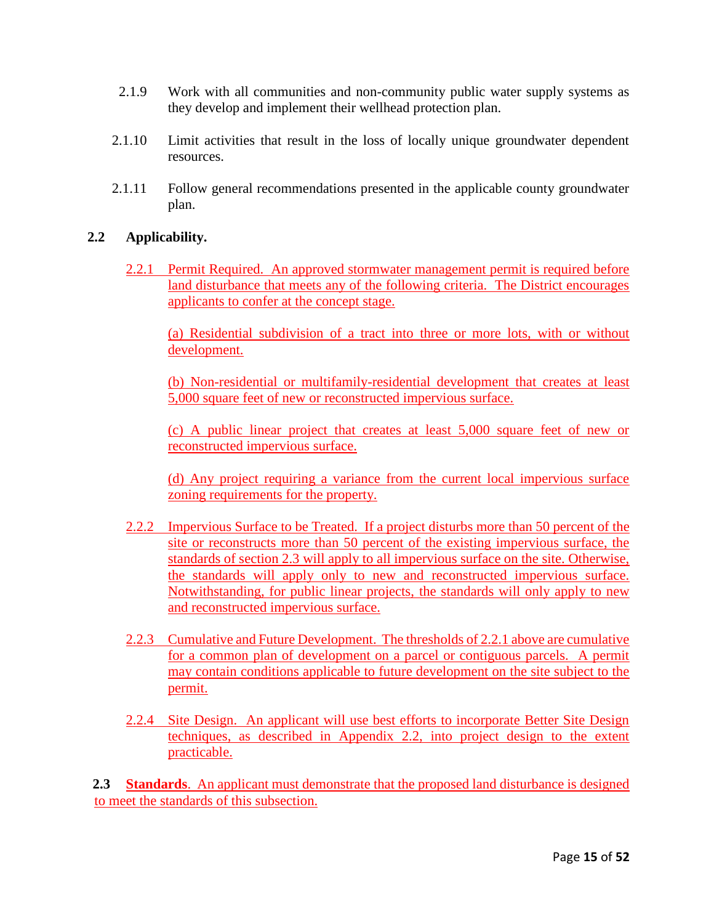- 2.1.9 Work with all communities and non-community public water supply systems as they develop and implement their wellhead protection plan.
- 2.1.10 Limit activities that result in the loss of locally unique groundwater dependent resources.
- 2.1.11 Follow general recommendations presented in the applicable county groundwater plan.

### **2.2 Applicability.**

2.2.1 Permit Required. An approved stormwater management permit is required before land disturbance that meets any of the following criteria. The District encourages applicants to confer at the concept stage.

(a) Residential subdivision of a tract into three or more lots, with or without development.

(b) Non-residential or multifamily-residential development that creates at least 5,000 square feet of new or reconstructed impervious surface.

(c) A public linear project that creates at least 5,000 square feet of new or reconstructed impervious surface.

(d) Any project requiring a variance from the current local impervious surface zoning requirements for the property.

- 2.2.2 Impervious Surface to be Treated. If a project disturbs more than 50 percent of the site or reconstructs more than 50 percent of the existing impervious surface, the standards of section 2.3 will apply to all impervious surface on the site. Otherwise, the standards will apply only to new and reconstructed impervious surface. Notwithstanding, for public linear projects, the standards will only apply to new and reconstructed impervious surface.
- 2.2.3 Cumulative and Future Development. The thresholds of 2.2.1 above are cumulative for a common plan of development on a parcel or contiguous parcels. A permit may contain conditions applicable to future development on the site subject to the permit.
- 2.2.4 Site Design. An applicant will use best efforts to incorporate Better Site Design techniques, as described in Appendix 2.2, into project design to the extent practicable.

2.3 **Standards**. An applicant must demonstrate that the proposed land disturbance is designed to meet the standards of this subsection.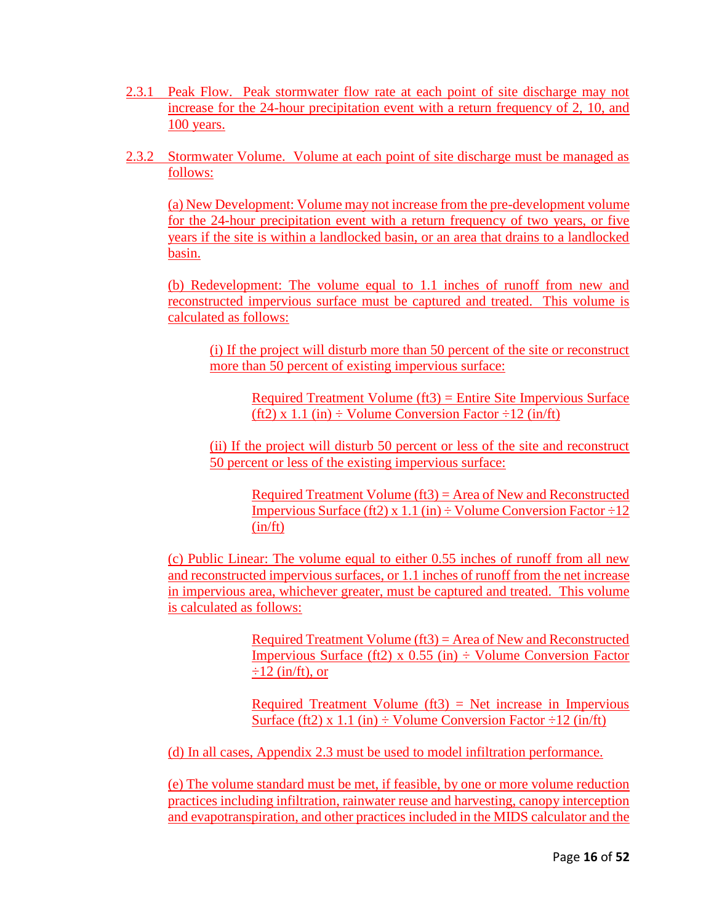- 2.3.1 Peak Flow. Peak stormwater flow rate at each point of site discharge may not increase for the 24-hour precipitation event with a return frequency of 2, 10, and 100 years.
- 2.3.2 Stormwater Volume. Volume at each point of site discharge must be managed as follows:

(a) New Development: Volume may not increase from the pre-development volume for the 24-hour precipitation event with a return frequency of two years, or five years if the site is within a landlocked basin, or an area that drains to a landlocked basin.

(b) Redevelopment: The volume equal to 1.1 inches of runoff from new and reconstructed impervious surface must be captured and treated. This volume is calculated as follows:

(i) If the project will disturb more than 50 percent of the site or reconstruct more than 50 percent of existing impervious surface:

Required Treatment Volume (ft3) = Entire Site Impervious Surface (ft2) x 1.1 (in)  $\div$  Volume Conversion Factor  $\div$ 12 (in/ft)

(ii) If the project will disturb 50 percent or less of the site and reconstruct 50 percent or less of the existing impervious surface:

Required Treatment Volume (ft3) = Area of New and Reconstructed Impervious Surface (ft2) x 1.1 (in)  $\div$  Volume Conversion Factor  $\div$ 12  $(in/ft)$ 

(c) Public Linear: The volume equal to either 0.55 inches of runoff from all new and reconstructed impervious surfaces, or 1.1 inches of runoff from the net increase in impervious area, whichever greater, must be captured and treated. This volume is calculated as follows:

> Required Treatment Volume  $(f13) = Area$  of New and Reconstructed Impervious Surface (ft2) x  $0.55$  (in)  $\div$  Volume Conversion Factor  $\div 12$  (in/ft), or

> Required Treatment Volume  $(f13)$  = Net increase in Impervious Surface (ft2) x 1.1 (in)  $\div$  Volume Conversion Factor  $\div$ 12 (in/ft)

(d) In all cases, Appendix 2.3 must be used to model infiltration performance.

(e) The volume standard must be met, if feasible, by one or more volume reduction practices including infiltration, rainwater reuse and harvesting, canopy interception and evapotranspiration, and other practices included in the MIDS calculator and the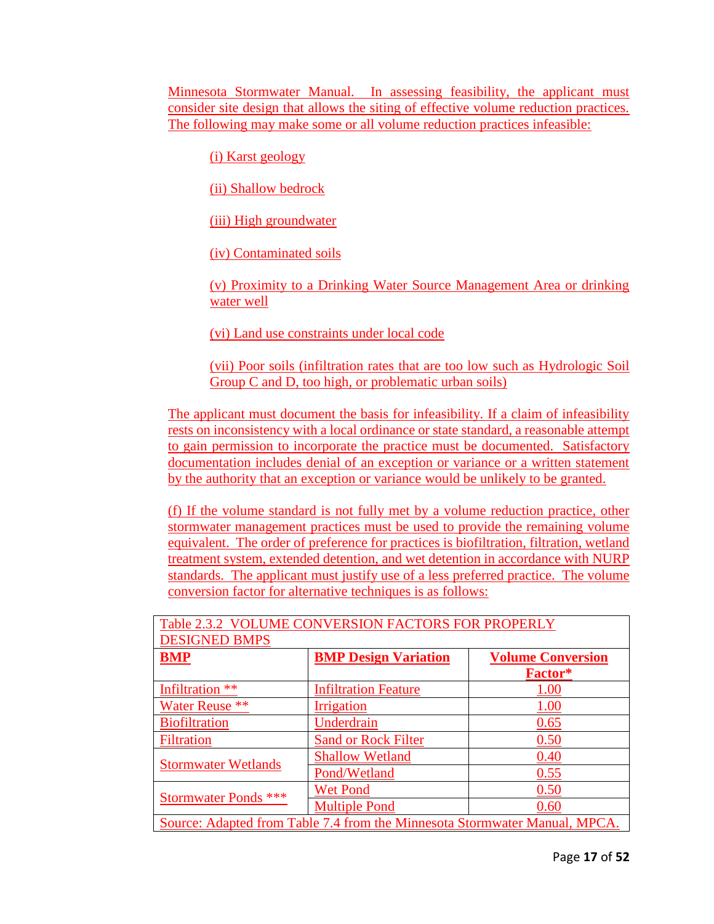Minnesota Stormwater Manual. In assessing feasibility, the applicant must consider site design that allows the siting of effective volume reduction practices. The following may make some or all volume reduction practices infeasible:

(i) Karst geology

(ii) Shallow bedrock

(iii) High groundwater

(iv) Contaminated soils

(v) Proximity to a Drinking Water Source Management Area or drinking water well

(vi) Land use constraints under local code

(vii) Poor soils (infiltration rates that are too low such as Hydrologic Soil Group C and D, too high, or problematic urban soils)

The applicant must document the basis for infeasibility. If a claim of infeasibility rests on inconsistency with a local ordinance or state standard, a reasonable attempt to gain permission to incorporate the practice must be documented. Satisfactory documentation includes denial of an exception or variance or a written statement by the authority that an exception or variance would be unlikely to be granted.

(f) If the volume standard is not fully met by a volume reduction practice, other stormwater management practices must be used to provide the remaining volume equivalent. The order of preference for practices is biofiltration, filtration, wetland treatment system, extended detention, and wet detention in accordance with NURP standards. The applicant must justify use of a less preferred practice. The volume conversion factor for alternative techniques is as follows:

| Table 2.3.2 VOLUME CONVERSION FACTORS FOR PROPERLY                         |                             |                          |  |
|----------------------------------------------------------------------------|-----------------------------|--------------------------|--|
| <b>DESIGNED BMPS</b>                                                       |                             |                          |  |
| <b>BMP</b>                                                                 | <b>BMP Design Variation</b> | <b>Volume Conversion</b> |  |
|                                                                            |                             | Factor*                  |  |
| Infiltration **                                                            | <b>Infiltration Feature</b> | 1.00                     |  |
| Water Reuse **                                                             | Irrigation                  | <u>1.00</u>              |  |
| <b>Biofiltration</b>                                                       | Underdrain                  | 0.65                     |  |
| <b>Filtration</b>                                                          | <b>Sand or Rock Filter</b>  | 0.50                     |  |
| <b>Stormwater Wetlands</b>                                                 | <b>Shallow Wetland</b>      | 0.40                     |  |
|                                                                            | Pond/Wetland                | 0.55                     |  |
|                                                                            | <b>Wet Pond</b>             | 0.50                     |  |
| Stormwater Ponds ***                                                       | <b>Multiple Pond</b>        | 0.60                     |  |
| Source: Adapted from Table 7.4 from the Minnesota Stormwater Manual, MPCA. |                             |                          |  |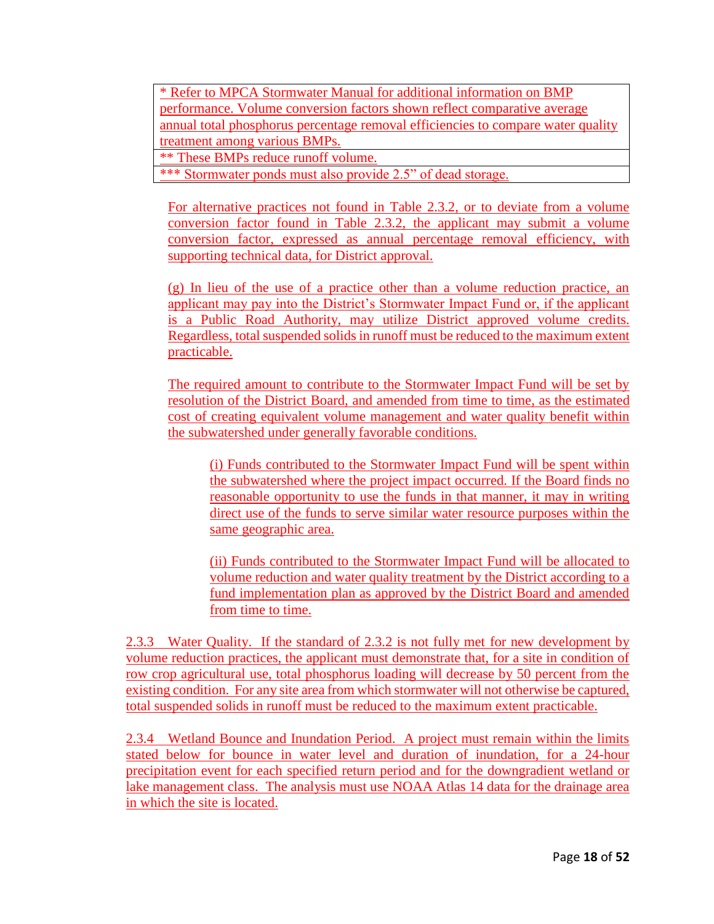\* Refer to MPCA Stormwater Manual for additional information on BMP performance. Volume conversion factors shown reflect comparative average annual total phosphorus percentage removal efficiencies to compare water quality treatment among various BMPs.

\*\* These BMPs reduce runoff volume.

\*\*\* Stormwater ponds must also provide 2.5" of dead storage.

For alternative practices not found in Table 2.3.2, or to deviate from a volume conversion factor found in Table 2.3.2, the applicant may submit a volume conversion factor, expressed as annual percentage removal efficiency, with supporting technical data, for District approval.

(g) In lieu of the use of a practice other than a volume reduction practice, an applicant may pay into the District's Stormwater Impact Fund or, if the applicant is a Public Road Authority, may utilize District approved volume credits. Regardless, total suspended solids in runoff must be reduced to the maximum extent practicable.

The required amount to contribute to the Stormwater Impact Fund will be set by resolution of the District Board, and amended from time to time, as the estimated cost of creating equivalent volume management and water quality benefit within the subwatershed under generally favorable conditions.

(i) Funds contributed to the Stormwater Impact Fund will be spent within the subwatershed where the project impact occurred. If the Board finds no reasonable opportunity to use the funds in that manner, it may in writing direct use of the funds to serve similar water resource purposes within the same geographic area.

(ii) Funds contributed to the Stormwater Impact Fund will be allocated to volume reduction and water quality treatment by the District according to a fund implementation plan as approved by the District Board and amended from time to time.

2.3.3 Water Quality. If the standard of 2.3.2 is not fully met for new development by volume reduction practices, the applicant must demonstrate that, for a site in condition of row crop agricultural use, total phosphorus loading will decrease by 50 percent from the existing condition. For any site area from which stormwater will not otherwise be captured, total suspended solids in runoff must be reduced to the maximum extent practicable.

2.3.4 Wetland Bounce and Inundation Period. A project must remain within the limits stated below for bounce in water level and duration of inundation, for a 24-hour precipitation event for each specified return period and for the downgradient wetland or lake management class. The analysis must use NOAA Atlas 14 data for the drainage area in which the site is located.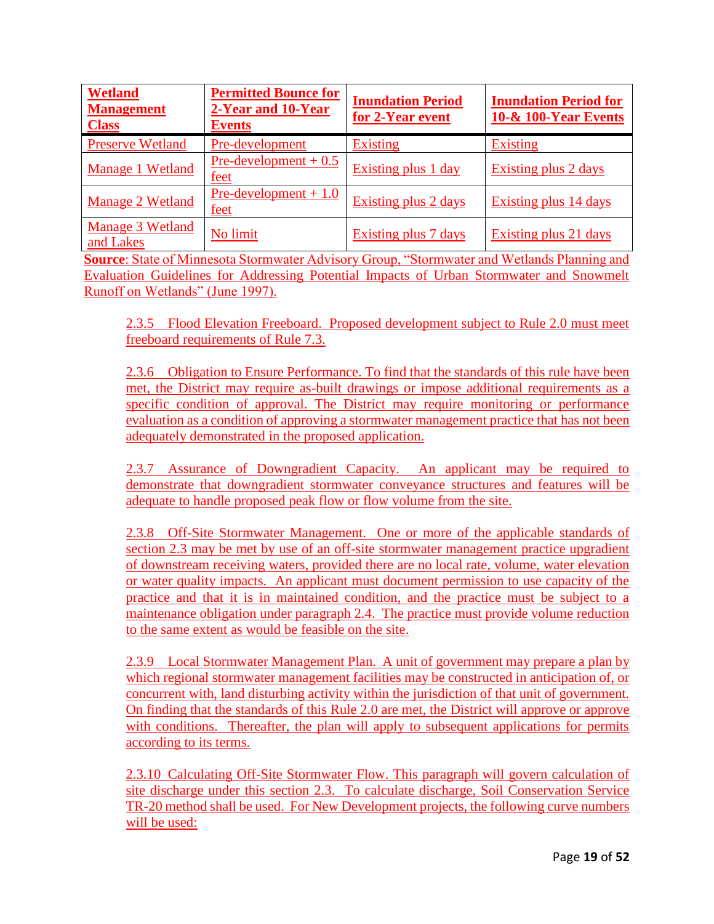| <b>Wetland</b><br><b>Management</b><br><b>Class</b> | <b>Permitted Bounce for</b><br>2-Year and 10-Year<br><b>Events</b> | <b>Inundation Period</b><br>for 2-Year event | <b>Inundation Period for</b><br><b>10-&amp; 100-Year Events</b> |
|-----------------------------------------------------|--------------------------------------------------------------------|----------------------------------------------|-----------------------------------------------------------------|
| <b>Preserve Wetland</b>                             | Pre-development                                                    | <b>Existing</b>                              | <b>Existing</b>                                                 |
| Manage 1 Wetland                                    | $Pre$ -development + 0.5<br>feet                                   | <b>Existing plus 1 day</b>                   | <b>Existing plus 2 days</b>                                     |
| Manage 2 Wetland                                    | $Pre-development + 1.0$<br><u>feet</u>                             | Existing plus 2 days                         | Existing plus 14 days                                           |
| Manage 3 Wetland<br>and Lakes                       | No limit                                                           | Existing plus 7 days                         | Existing plus 21 days                                           |

**Source**: State of Minnesota Stormwater Advisory Group, "Stormwater and Wetlands Planning and Evaluation Guidelines for Addressing Potential Impacts of Urban Stormwater and Snowmelt Runoff on Wetlands" (June 1997).

2.3.5 Flood Elevation Freeboard. Proposed development subject to Rule 2.0 must meet freeboard requirements of Rule 7.3.

2.3.6 Obligation to Ensure Performance. To find that the standards of this rule have been met, the District may require as-built drawings or impose additional requirements as a specific condition of approval. The District may require monitoring or performance evaluation as a condition of approving a stormwater management practice that has not been adequately demonstrated in the proposed application.

2.3.7 Assurance of Downgradient Capacity. An applicant may be required to demonstrate that downgradient stormwater conveyance structures and features will be adequate to handle proposed peak flow or flow volume from the site.

2.3.8 Off-Site Stormwater Management. One or more of the applicable standards of section 2.3 may be met by use of an off-site stormwater management practice upgradient of downstream receiving waters, provided there are no local rate, volume, water elevation or water quality impacts. An applicant must document permission to use capacity of the practice and that it is in maintained condition, and the practice must be subject to a maintenance obligation under paragraph 2.4. The practice must provide volume reduction to the same extent as would be feasible on the site.

2.3.9 Local Stormwater Management Plan. A unit of government may prepare a plan by which regional stormwater management facilities may be constructed in anticipation of, or concurrent with, land disturbing activity within the jurisdiction of that unit of government. On finding that the standards of this Rule 2.0 are met, the District will approve or approve with conditions. Thereafter, the plan will apply to subsequent applications for permits according to its terms.

2.3.10 Calculating Off-Site Stormwater Flow. This paragraph will govern calculation of site discharge under this section 2.3. To calculate discharge, Soil Conservation Service TR-20 method shall be used. For New Development projects, the following curve numbers will be used: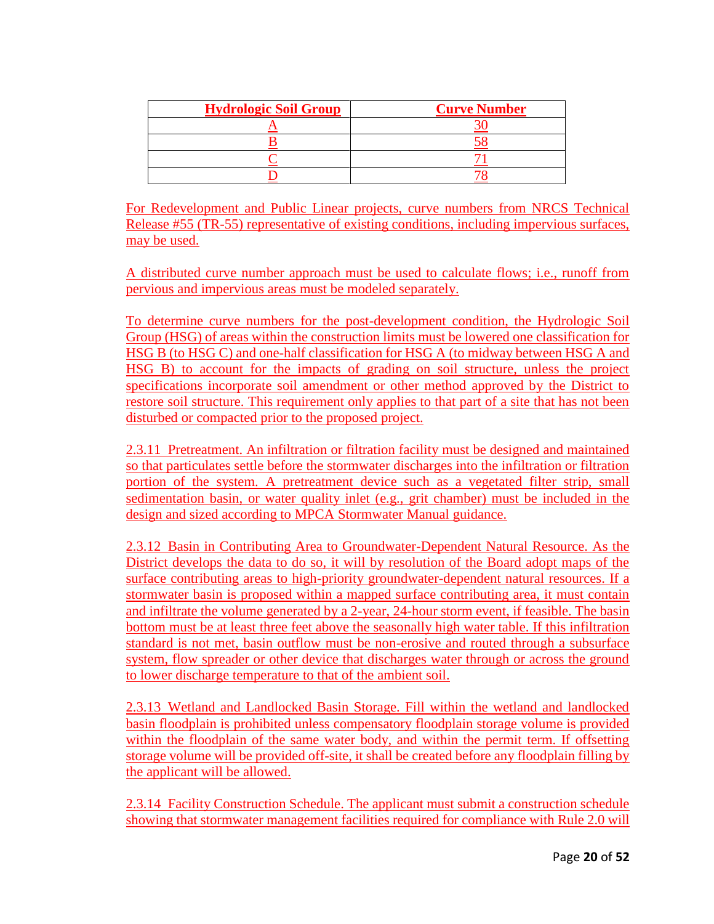| <b>Hydrologic Soil Group</b> | <b>Curve Number</b> |
|------------------------------|---------------------|
|                              |                     |
|                              |                     |
|                              |                     |
|                              |                     |

For Redevelopment and Public Linear projects, curve numbers from NRCS Technical Release #55 (TR-55) representative of existing conditions, including impervious surfaces, may be used.

A distributed curve number approach must be used to calculate flows; i.e., runoff from pervious and impervious areas must be modeled separately.

To determine curve numbers for the post-development condition, the Hydrologic Soil Group (HSG) of areas within the construction limits must be lowered one classification for HSG B (to HSG C) and one-half classification for HSG A (to midway between HSG A and HSG B) to account for the impacts of grading on soil structure, unless the project specifications incorporate soil amendment or other method approved by the District to restore soil structure. This requirement only applies to that part of a site that has not been disturbed or compacted prior to the proposed project.

2.3.11 Pretreatment. An infiltration or filtration facility must be designed and maintained so that particulates settle before the stormwater discharges into the infiltration or filtration portion of the system. A pretreatment device such as a vegetated filter strip, small sedimentation basin, or water quality inlet (e.g., grit chamber) must be included in the design and sized according to MPCA Stormwater Manual guidance.

2.3.12 Basin in Contributing Area to Groundwater-Dependent Natural Resource. As the District develops the data to do so, it will by resolution of the Board adopt maps of the surface contributing areas to high-priority groundwater-dependent natural resources. If a stormwater basin is proposed within a mapped surface contributing area, it must contain and infiltrate the volume generated by a 2-year, 24-hour storm event, if feasible. The basin bottom must be at least three feet above the seasonally high water table. If this infiltration standard is not met, basin outflow must be non-erosive and routed through a subsurface system, flow spreader or other device that discharges water through or across the ground to lower discharge temperature to that of the ambient soil.

2.3.13 Wetland and Landlocked Basin Storage. Fill within the wetland and landlocked basin floodplain is prohibited unless compensatory floodplain storage volume is provided within the floodplain of the same water body, and within the permit term. If offsetting storage volume will be provided off-site, it shall be created before any floodplain filling by the applicant will be allowed.

2.3.14 Facility Construction Schedule. The applicant must submit a construction schedule showing that stormwater management facilities required for compliance with Rule 2.0 will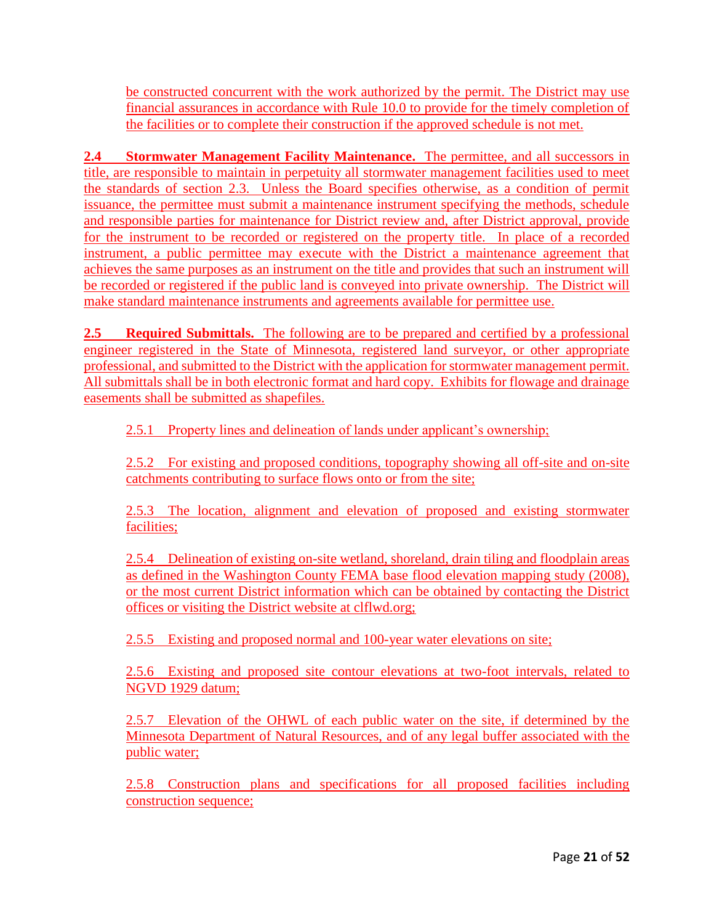be constructed concurrent with the work authorized by the permit. The District may use financial assurances in accordance with Rule 10.0 to provide for the timely completion of the facilities or to complete their construction if the approved schedule is not met.

**2.4 Stormwater Management Facility Maintenance.** The permittee, and all successors in title, are responsible to maintain in perpetuity all stormwater management facilities used to meet the standards of section 2.3. Unless the Board specifies otherwise, as a condition of permit issuance, the permittee must submit a maintenance instrument specifying the methods, schedule and responsible parties for maintenance for District review and, after District approval, provide for the instrument to be recorded or registered on the property title. In place of a recorded instrument, a public permittee may execute with the District a maintenance agreement that achieves the same purposes as an instrument on the title and provides that such an instrument will be recorded or registered if the public land is conveyed into private ownership. The District will make standard maintenance instruments and agreements available for permittee use.

**2.5 Required Submittals.** The following are to be prepared and certified by a professional engineer registered in the State of Minnesota, registered land surveyor, or other appropriate professional, and submitted to the District with the application for stormwater management permit. All submittals shall be in both electronic format and hard copy. Exhibits for flowage and drainage easements shall be submitted as shapefiles.

2.5.1 Property lines and delineation of lands under applicant's ownership;

2.5.2 For existing and proposed conditions, topography showing all off-site and on-site catchments contributing to surface flows onto or from the site;

2.5.3 The location, alignment and elevation of proposed and existing stormwater facilities;

2.5.4 Delineation of existing on-site wetland, shoreland, drain tiling and floodplain areas as defined in the Washington County FEMA base flood elevation mapping study (2008), or the most current District information which can be obtained by contacting the District offices or visiting the District website at clflwd.org;

2.5.5 Existing and proposed normal and 100-year water elevations on site;

2.5.6 Existing and proposed site contour elevations at two-foot intervals, related to NGVD 1929 datum;

2.5.7 Elevation of the OHWL of each public water on the site, if determined by the Minnesota Department of Natural Resources, and of any legal buffer associated with the public water;

2.5.8 Construction plans and specifications for all proposed facilities including construction sequence;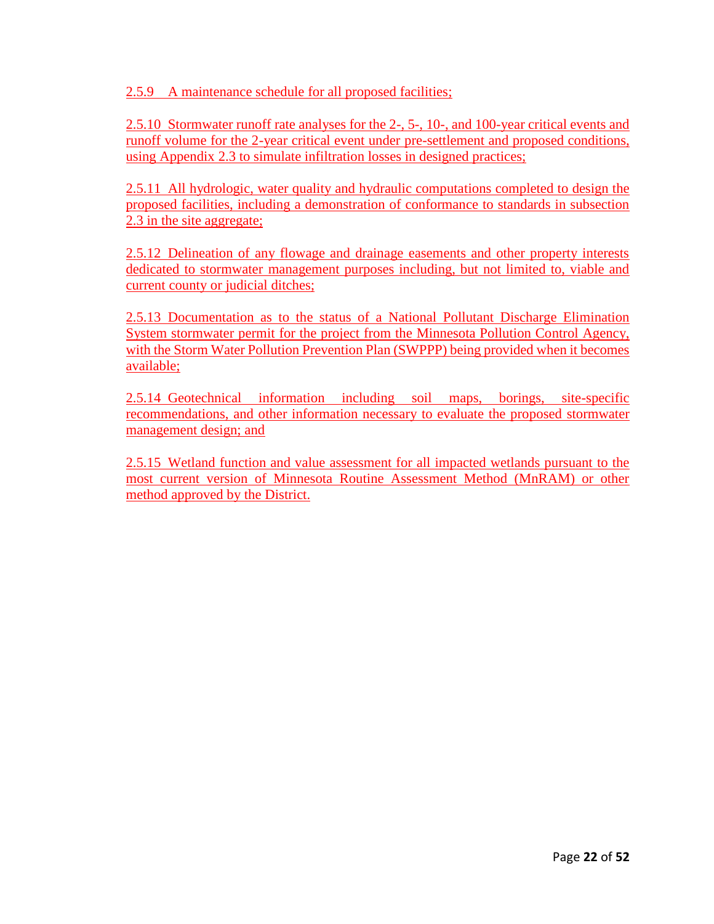2.5.9 A maintenance schedule for all proposed facilities;

2.5.10 Stormwater runoff rate analyses for the 2-, 5-, 10-, and 100-year critical events and runoff volume for the 2-year critical event under pre-settlement and proposed conditions, using Appendix 2.3 to simulate infiltration losses in designed practices;

2.5.11 All hydrologic, water quality and hydraulic computations completed to design the proposed facilities, including a demonstration of conformance to standards in subsection 2.3 in the site aggregate;

2.5.12 Delineation of any flowage and drainage easements and other property interests dedicated to stormwater management purposes including, but not limited to, viable and current county or judicial ditches;

2.5.13 Documentation as to the status of a National Pollutant Discharge Elimination System stormwater permit for the project from the Minnesota Pollution Control Agency, with the Storm Water Pollution Prevention Plan (SWPPP) being provided when it becomes available;

2.5.14 Geotechnical information including soil maps, borings, site-specific recommendations, and other information necessary to evaluate the proposed stormwater management design; and

2.5.15 Wetland function and value assessment for all impacted wetlands pursuant to the most current version of Minnesota Routine Assessment Method (MnRAM) or other method approved by the District.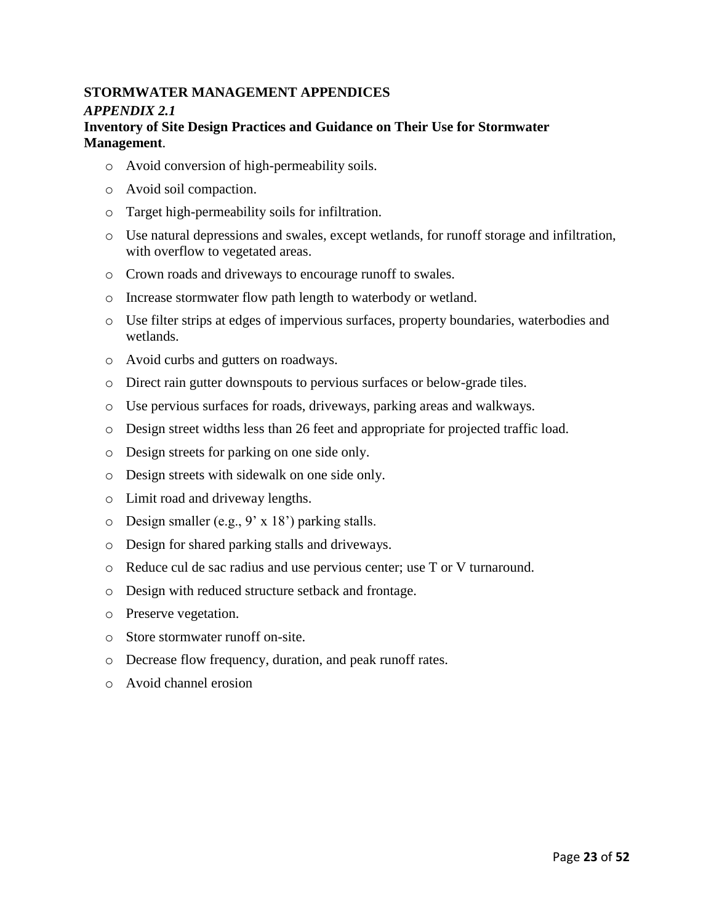# **STORMWATER MANAGEMENT APPENDICES** *APPENDIX 2.1*

#### **Inventory of Site Design Practices and Guidance on Their Use for Stormwater Management**.

- o Avoid conversion of high-permeability soils.
- o Avoid soil compaction.
- o Target high-permeability soils for infiltration.
- o Use natural depressions and swales, except wetlands, for runoff storage and infiltration, with overflow to vegetated areas.
- o Crown roads and driveways to encourage runoff to swales.
- o Increase stormwater flow path length to waterbody or wetland.
- o Use filter strips at edges of impervious surfaces, property boundaries, waterbodies and wetlands.
- o Avoid curbs and gutters on roadways.
- o Direct rain gutter downspouts to pervious surfaces or below-grade tiles.
- o Use pervious surfaces for roads, driveways, parking areas and walkways.
- o Design street widths less than 26 feet and appropriate for projected traffic load.
- o Design streets for parking on one side only.
- o Design streets with sidewalk on one side only.
- o Limit road and driveway lengths.
- o Design smaller (e.g., 9' x 18') parking stalls.
- o Design for shared parking stalls and driveways.
- o Reduce cul de sac radius and use pervious center; use T or V turnaround.
- o Design with reduced structure setback and frontage.
- o Preserve vegetation.
- o Store stormwater runoff on-site.
- o Decrease flow frequency, duration, and peak runoff rates.
- o Avoid channel erosion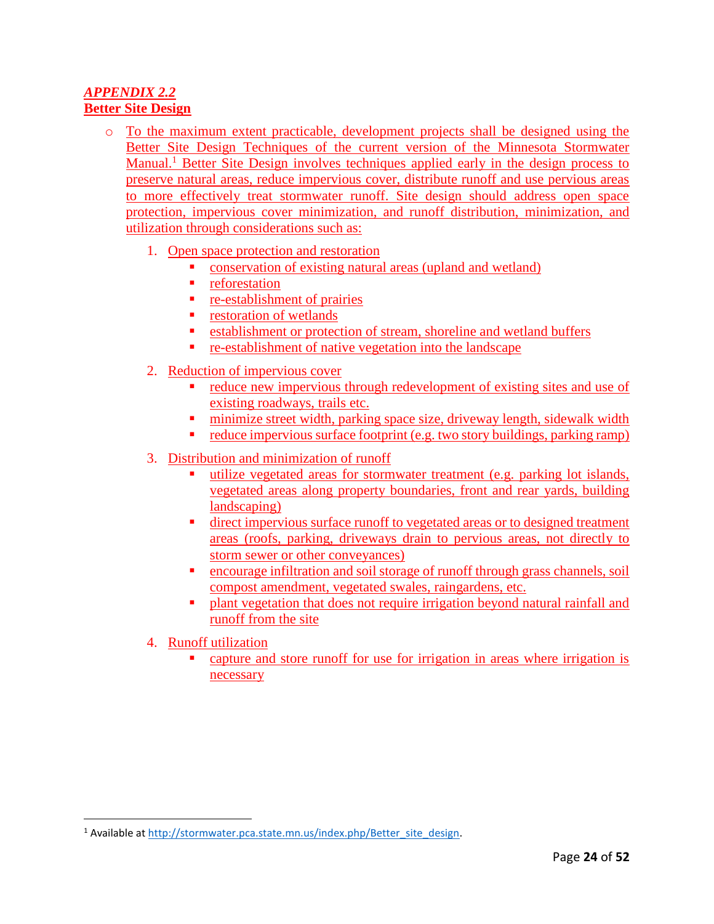## *APPENDIX 2.2*  **Better Site Design**

- o To the maximum extent practicable, development projects shall be designed using the Better Site Design Techniques of the current version of the Minnesota Stormwater Manual.<sup>1</sup> Better Site Design involves techniques applied early in the design process to preserve natural areas, reduce impervious cover, distribute runoff and use pervious areas to more effectively treat stormwater runoff. Site design should address open space protection, impervious cover minimization, and runoff distribution, minimization, and utilization through considerations such as:
	- 1. Open space protection and restoration
		- conservation of existing natural areas (upland and wetland)
		- **•** reforestation
		- **•** re-establishment of prairies
		- **•** restoration of wetlands
		- **Example 1** establishment or protection of stream, shoreline and wetland buffers
		- re-establishment of native vegetation into the landscape
	- 2. Reduction of impervious cover
		- reduce new impervious through redevelopment of existing sites and use of existing roadways, trails etc.
		- minimize street width, parking space size, driveway length, sidewalk width
		- reduce impervious surface footprint (e.g. two story buildings, parking ramp)
	- 3. Distribution and minimization of runoff
		- utilize vegetated areas for stormwater treatment (e.g. parking lot islands, vegetated areas along property boundaries, front and rear yards, building landscaping)
		- direct impervious surface runoff to vegetated areas or to designed treatment areas (roofs, parking, driveways drain to pervious areas, not directly to storm sewer or other conveyances)
		- encourage infiltration and soil storage of runoff through grass channels, soil compost amendment, vegetated swales, raingardens, etc.
		- plant vegetation that does not require irrigation beyond natural rainfall and runoff from the site
	- 4. Runoff utilization

 $\overline{a}$ 

 capture and store runoff for use for irrigation in areas where irrigation is necessary

<sup>&</sup>lt;sup>1</sup> Available at [http://stormwater.pca.state.mn.us/index.php/Better\\_site\\_design.](http://stormwater.pca.state.mn.us/index.php/Better_site_design)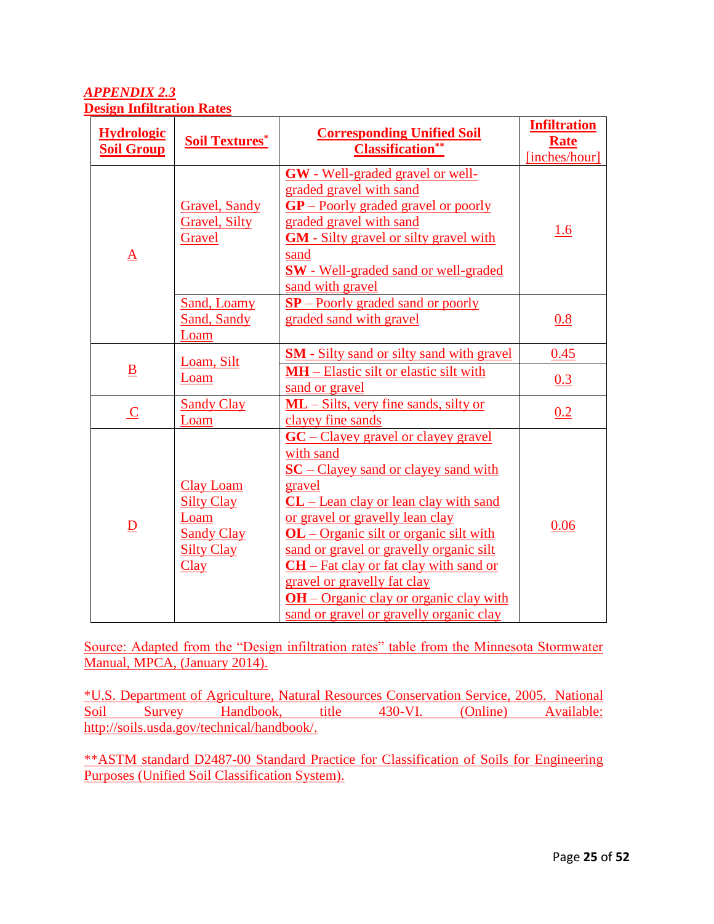## *APPENDIX 2.3*  **Design Infiltration Rates**

| <b>Hydrologic</b><br><b>Soil Group</b> | <b>Soil Textures*</b>                                                                           | <b>Corresponding Unified Soil</b><br><b>Classification*</b>                                                                                                                                                                                                                                                                                                                                                                                        | <b>Infiltration</b><br><b>Rate</b><br>[inches/hour] |
|----------------------------------------|-------------------------------------------------------------------------------------------------|----------------------------------------------------------------------------------------------------------------------------------------------------------------------------------------------------------------------------------------------------------------------------------------------------------------------------------------------------------------------------------------------------------------------------------------------------|-----------------------------------------------------|
| ${\bf A}$                              | <b>Gravel</b> , Sandy<br><b>Gravel</b> , Silty<br>Gravel                                        | <b>GW</b> - Well-graded gravel or well-<br>graded gravel with sand<br>$GP$ – Poorly graded gravel or poorly<br>graded gravel with sand<br><b>GM</b> - Silty gravel or silty gravel with<br>sand<br><b>SW</b> - Well-graded sand or well-graded<br>sand with gravel                                                                                                                                                                                 | 1.6                                                 |
|                                        | Sand, Loamy<br>Sand, Sandy<br>Loam                                                              | $SP -$ Poorly graded sand or poorly<br>graded sand with gravel                                                                                                                                                                                                                                                                                                                                                                                     | 0.8                                                 |
| $\underline{\mathbf{B}}$               | Loam, Silt<br>Loam                                                                              | <b>SM</b> - Silty sand or silty sand with gravel<br><b>MH</b> – Elastic silt or elastic silt with<br>sand or gravel                                                                                                                                                                                                                                                                                                                                | 0.45<br>0.3                                         |
| $\overline{C}$                         | <b>Sandy Clay</b><br>Loam                                                                       | ML - Silts, very fine sands, silty or<br>clayey fine sands                                                                                                                                                                                                                                                                                                                                                                                         | 0.2                                                 |
| $\overline{D}$                         | <b>Clay Loam</b><br><b>Silty Clay</b><br>Loam<br><b>Sandy Clay</b><br><b>Silty Clay</b><br>Clay | $GC$ – Clayey gravel or clayey gravel<br>with sand<br>$SC - Clayey$ sand or clayey sand with<br>gravel<br>$CL$ – Lean clay or lean clay with sand<br>or gravel or gravelly lean clay<br><b>OL</b> – Organic silt or organic silt with<br>sand or gravel or gravelly organic silt<br>$CH - Fat$ clay or fat clay with sand or<br>gravel or gravelly fat clay<br>$OH - Organic$ clay or organic clay with<br>sand or gravel or gravelly organic clay | 0.06                                                |

Source: Adapted from the "Design infiltration rates" table from the Minnesota Stormwater Manual, MPCA, (January 2014).

\*U.S. Department of Agriculture, Natural Resources Conservation Service, 2005. National Soil Survey Handbook, title 430-VI. (Online) Available: [http://soils.usda.gov/technical/handbook/.](http://soils.usda.gov/technical/handbook/)

\*\*ASTM standard D2487-00 Standard Practice for Classification of Soils for Engineering Purposes (Unified Soil Classification System).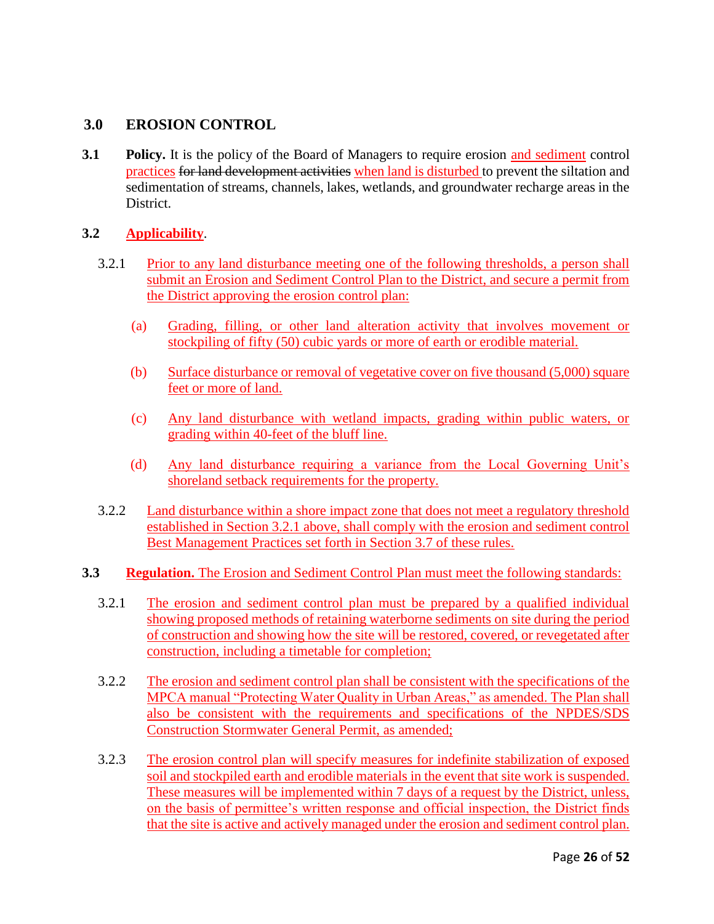## **3.0 EROSION CONTROL**

**3.1 Policy.** It is the policy of the Board of Managers to require erosion and sediment control practices for land development activities when land is disturbed to prevent the siltation and sedimentation of streams, channels, lakes, wetlands, and groundwater recharge areas in the District.

### **3.2 Applicability**.

- 3.2.1 Prior to any land disturbance meeting one of the following thresholds, a person shall submit an Erosion and Sediment Control Plan to the District, and secure a permit from the District approving the erosion control plan:
	- (a) Grading, filling, or other land alteration activity that involves movement or stockpiling of fifty (50) cubic yards or more of earth or erodible material.
	- (b) Surface disturbance or removal of vegetative cover on five thousand (5,000) square feet or more of land.
	- (c) Any land disturbance with wetland impacts, grading within public waters, or grading within 40-feet of the bluff line.
	- (d) Any land disturbance requiring a variance from the Local Governing Unit's shoreland setback requirements for the property.
- 3.2.2 Land disturbance within a shore impact zone that does not meet a regulatory threshold established in Section 3.2.1 above, shall comply with the erosion and sediment control Best Management Practices set forth in Section 3.7 of these rules.
- **3.3 Regulation.** The Erosion and Sediment Control Plan must meet the following standards:
	- 3.2.1 The erosion and sediment control plan must be prepared by a qualified individual showing proposed methods of retaining waterborne sediments on site during the period of construction and showing how the site will be restored, covered, or revegetated after construction, including a timetable for completion;
	- 3.2.2 The erosion and sediment control plan shall be consistent with the specifications of the MPCA manual "Protecting Water Quality in Urban Areas," as amended. The Plan shall also be consistent with the requirements and specifications of the NPDES/SDS Construction Stormwater General Permit, as amended;
	- 3.2.3 The erosion control plan will specify measures for indefinite stabilization of exposed soil and stockpiled earth and erodible materials in the event that site work is suspended. These measures will be implemented within 7 days of a request by the District, unless, on the basis of permittee's written response and official inspection, the District finds that the site is active and actively managed under the erosion and sediment control plan.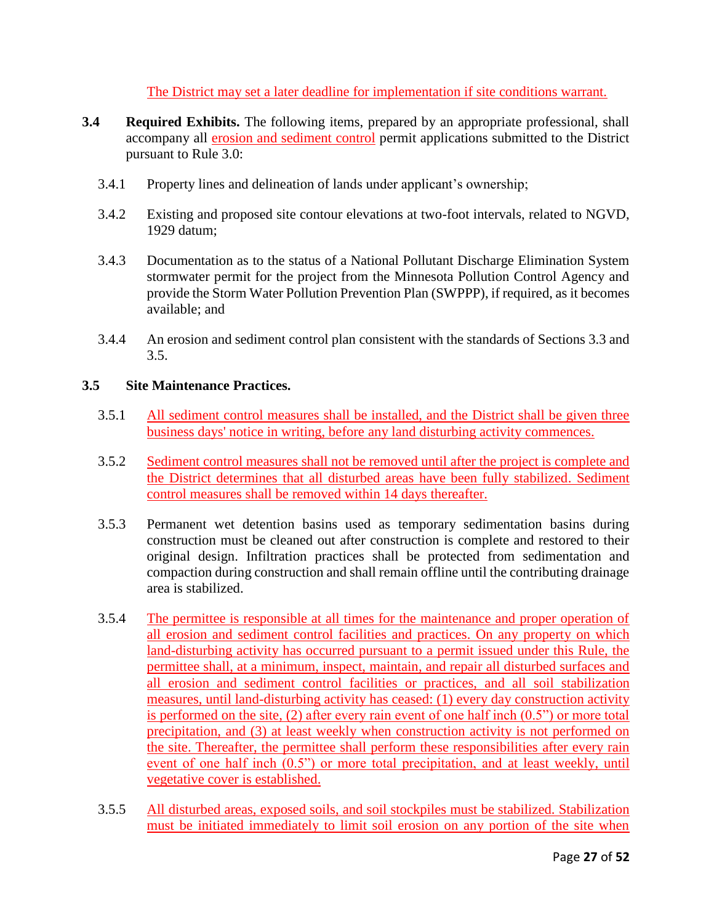The District may set a later deadline for implementation if site conditions warrant.

- **3.4 Required Exhibits.** The following items, prepared by an appropriate professional, shall accompany all erosion and sediment control permit applications submitted to the District pursuant to Rule 3.0:
	- 3.4.1 Property lines and delineation of lands under applicant's ownership;
	- 3.4.2 Existing and proposed site contour elevations at two-foot intervals, related to NGVD, 1929 datum;
	- 3.4.3 Documentation as to the status of a National Pollutant Discharge Elimination System stormwater permit for the project from the Minnesota Pollution Control Agency and provide the Storm Water Pollution Prevention Plan (SWPPP), if required, as it becomes available; and
	- 3.4.4 An erosion and sediment control plan consistent with the standards of Sections 3.3 and 3.5.

#### **3.5 Site Maintenance Practices.**

- 3.5.1 All sediment control measures shall be installed, and the District shall be given three business days' notice in writing, before any land disturbing activity commences.
- 3.5.2 Sediment control measures shall not be removed until after the project is complete and the District determines that all disturbed areas have been fully stabilized. Sediment control measures shall be removed within 14 days thereafter.
- 3.5.3 Permanent wet detention basins used as temporary sedimentation basins during construction must be cleaned out after construction is complete and restored to their original design. Infiltration practices shall be protected from sedimentation and compaction during construction and shall remain offline until the contributing drainage area is stabilized.
- 3.5.4 The permittee is responsible at all times for the maintenance and proper operation of all erosion and sediment control facilities and practices. On any property on which land-disturbing activity has occurred pursuant to a permit issued under this Rule, the permittee shall, at a minimum, inspect, maintain, and repair all disturbed surfaces and all erosion and sediment control facilities or practices, and all soil stabilization measures, until land-disturbing activity has ceased: (1) every day construction activity is performed on the site, (2) after every rain event of one half inch (0.5") or more total precipitation, and (3) at least weekly when construction activity is not performed on the site. Thereafter, the permittee shall perform these responsibilities after every rain event of one half inch (0.5") or more total precipitation, and at least weekly, until vegetative cover is established.
- 3.5.5 All disturbed areas, exposed soils, and soil stockpiles must be stabilized. Stabilization must be initiated immediately to limit soil erosion on any portion of the site when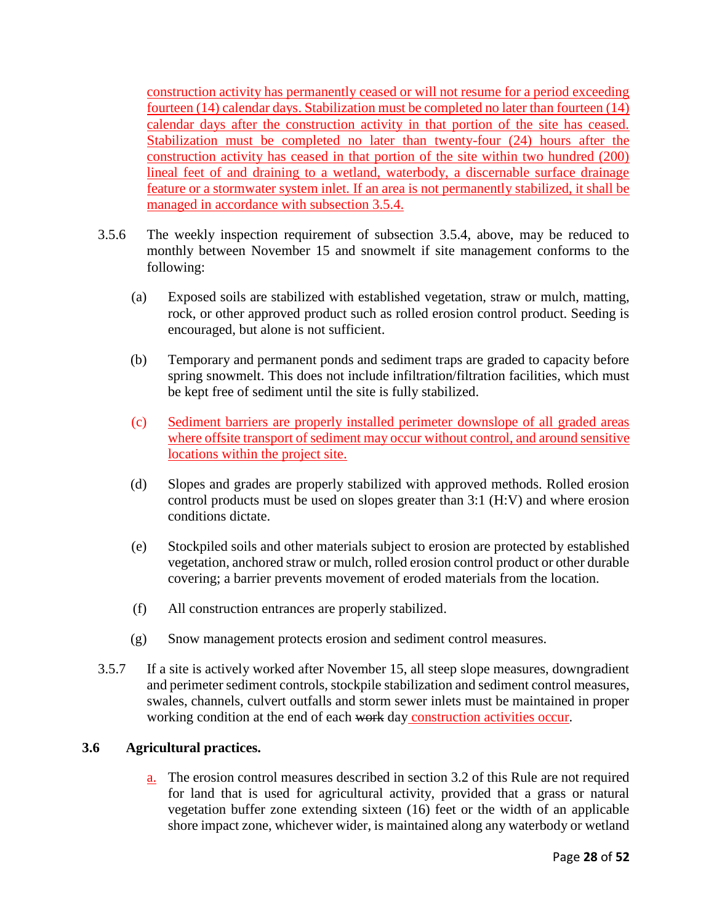construction activity has permanently ceased or will not resume for a period exceeding fourteen (14) calendar days. Stabilization must be completed no later than fourteen (14) calendar days after the construction activity in that portion of the site has ceased. Stabilization must be completed no later than twenty-four (24) hours after the construction activity has ceased in that portion of the site within two hundred (200) lineal feet of and draining to a wetland, waterbody, a discernable surface drainage feature or a stormwater system inlet. If an area is not permanently stabilized, it shall be managed in accordance with subsection 3.5.4.

- 3.5.6 The weekly inspection requirement of subsection 3.5.4, above, may be reduced to monthly between November 15 and snowmelt if site management conforms to the following:
	- (a) Exposed soils are stabilized with established vegetation, straw or mulch, matting, rock, or other approved product such as rolled erosion control product. Seeding is encouraged, but alone is not sufficient.
	- (b) Temporary and permanent ponds and sediment traps are graded to capacity before spring snowmelt. This does not include infiltration/filtration facilities, which must be kept free of sediment until the site is fully stabilized.
	- (c) Sediment barriers are properly installed perimeter downslope of all graded areas where offsite transport of sediment may occur without control, and around sensitive locations within the project site.
	- (d) Slopes and grades are properly stabilized with approved methods. Rolled erosion control products must be used on slopes greater than 3:1 (H:V) and where erosion conditions dictate.
	- (e) Stockpiled soils and other materials subject to erosion are protected by established vegetation, anchored straw or mulch, rolled erosion control product or other durable covering; a barrier prevents movement of eroded materials from the location.
	- (f) All construction entrances are properly stabilized.
	- (g) Snow management protects erosion and sediment control measures.
- 3.5.7 If a site is actively worked after November 15, all steep slope measures, downgradient and perimeter sediment controls, stockpile stabilization and sediment control measures, swales, channels, culvert outfalls and storm sewer inlets must be maintained in proper working condition at the end of each work day construction activities occur.

## **3.6 Agricultural practices.**

a. The erosion control measures described in section 3.2 of this Rule are not required for land that is used for agricultural activity, provided that a grass or natural vegetation buffer zone extending sixteen (16) feet or the width of an applicable shore impact zone, whichever wider, is maintained along any waterbody or wetland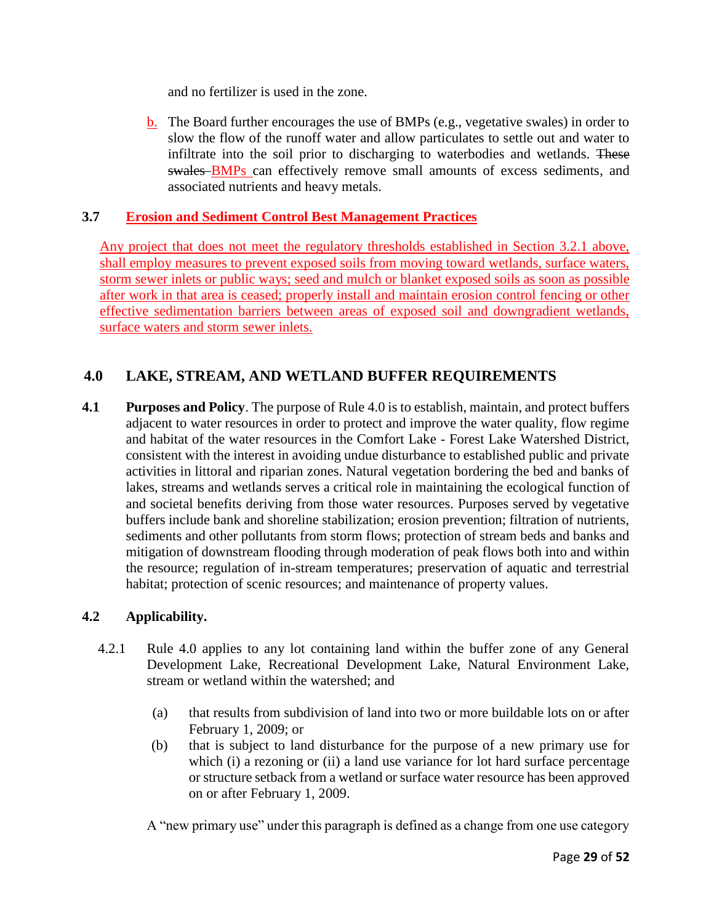and no fertilizer is used in the zone.

b. The Board further encourages the use of BMPs (e.g., vegetative swales) in order to slow the flow of the runoff water and allow particulates to settle out and water to infiltrate into the soil prior to discharging to waterbodies and wetlands. These swales **BMPs** can effectively remove small amounts of excess sediments, and associated nutrients and heavy metals.

## **3.7 Erosion and Sediment Control Best Management Practices**

Any project that does not meet the regulatory thresholds established in Section 3.2.1 above, shall employ measures to prevent exposed soils from moving toward wetlands, surface waters, storm sewer inlets or public ways; seed and mulch or blanket exposed soils as soon as possible after work in that area is ceased; properly install and maintain erosion control fencing or other effective sedimentation barriers between areas of exposed soil and downgradient wetlands, surface waters and storm sewer inlets.

## **4.0 LAKE, STREAM, AND WETLAND BUFFER REQUIREMENTS**

**4.1 Purposes and Policy**. The purpose of Rule 4.0 is to establish, maintain, and protect buffers adjacent to water resources in order to protect and improve the water quality, flow regime and habitat of the water resources in the Comfort Lake - Forest Lake Watershed District, consistent with the interest in avoiding undue disturbance to established public and private activities in littoral and riparian zones. Natural vegetation bordering the bed and banks of lakes, streams and wetlands serves a critical role in maintaining the ecological function of and societal benefits deriving from those water resources. Purposes served by vegetative buffers include bank and shoreline stabilization; erosion prevention; filtration of nutrients, sediments and other pollutants from storm flows; protection of stream beds and banks and mitigation of downstream flooding through moderation of peak flows both into and within the resource; regulation of in-stream temperatures; preservation of aquatic and terrestrial habitat; protection of scenic resources; and maintenance of property values.

### **4.2 Applicability.**

- 4.2.1 Rule 4.0 applies to any lot containing land within the buffer zone of any General Development Lake, Recreational Development Lake, Natural Environment Lake, stream or wetland within the watershed; and
	- (a) that results from subdivision of land into two or more buildable lots on or after February 1, 2009; or
	- (b) that is subject to land disturbance for the purpose of a new primary use for which (i) a rezoning or (ii) a land use variance for lot hard surface percentage or structure setback from a wetland or surface water resource has been approved on or after February 1, 2009.

A "new primary use" under this paragraph is defined as a change from one use category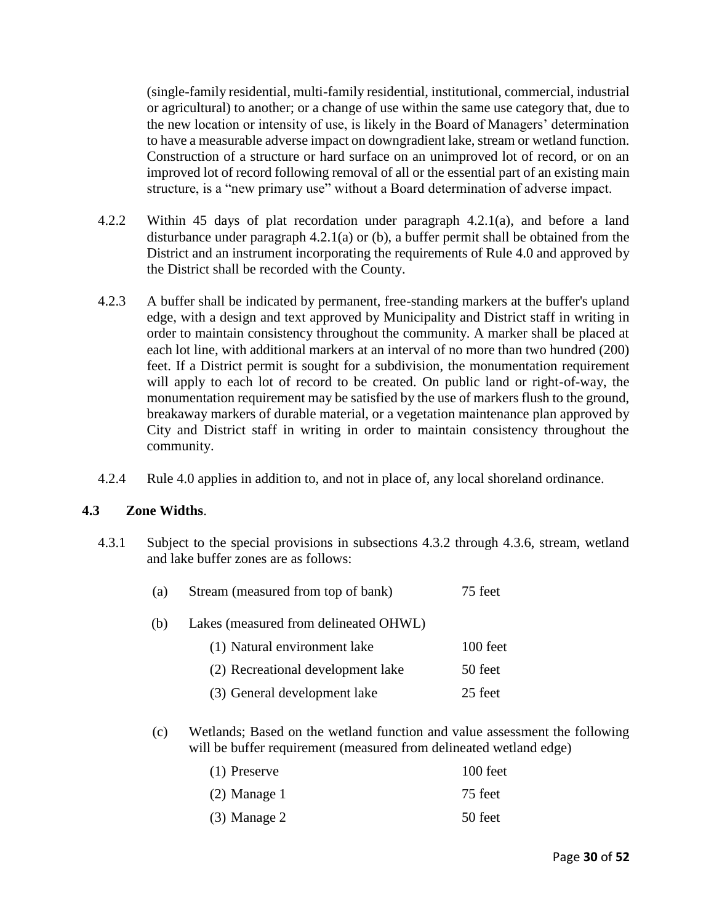(single-family residential, multi-family residential, institutional, commercial, industrial or agricultural) to another; or a change of use within the same use category that, due to the new location or intensity of use, is likely in the Board of Managers' determination to have a measurable adverse impact on downgradient lake, stream or wetland function. Construction of a structure or hard surface on an unimproved lot of record, or on an improved lot of record following removal of all or the essential part of an existing main structure, is a "new primary use" without a Board determination of adverse impact.

- 4.2.2 Within 45 days of plat recordation under paragraph 4.2.1(a), and before a land disturbance under paragraph 4.2.1(a) or (b), a buffer permit shall be obtained from the District and an instrument incorporating the requirements of Rule 4.0 and approved by the District shall be recorded with the County.
- 4.2.3 A buffer shall be indicated by permanent, free-standing markers at the buffer's upland edge, with a design and text approved by Municipality and District staff in writing in order to maintain consistency throughout the community. A marker shall be placed at each lot line, with additional markers at an interval of no more than two hundred (200) feet. If a District permit is sought for a subdivision, the monumentation requirement will apply to each lot of record to be created. On public land or right-of-way, the monumentation requirement may be satisfied by the use of markers flush to the ground, breakaway markers of durable material, or a vegetation maintenance plan approved by City and District staff in writing in order to maintain consistency throughout the community.
- 4.2.4 Rule 4.0 applies in addition to, and not in place of, any local shoreland ordinance.

#### **4.3 Zone Widths**.

4.3.1 Subject to the special provisions in subsections 4.3.2 through 4.3.6, stream, wetland and lake buffer zones are as follows:

| (a) | Stream (measured from top of bank)    | 75 feet  |
|-----|---------------------------------------|----------|
| (b) | Lakes (measured from delineated OHWL) |          |
|     | (1) Natural environment lake          | 100 feet |
|     | (2) Recreational development lake     | 50 feet  |
|     | (3) General development lake          | 25 feet  |

(c) Wetlands; Based on the wetland function and value assessment the following will be buffer requirement (measured from delineated wetland edge)

| $(1)$ Preserve | 100 feet |
|----------------|----------|
| $(2)$ Manage 1 | 75 feet  |
| $(3)$ Manage 2 | 50 feet  |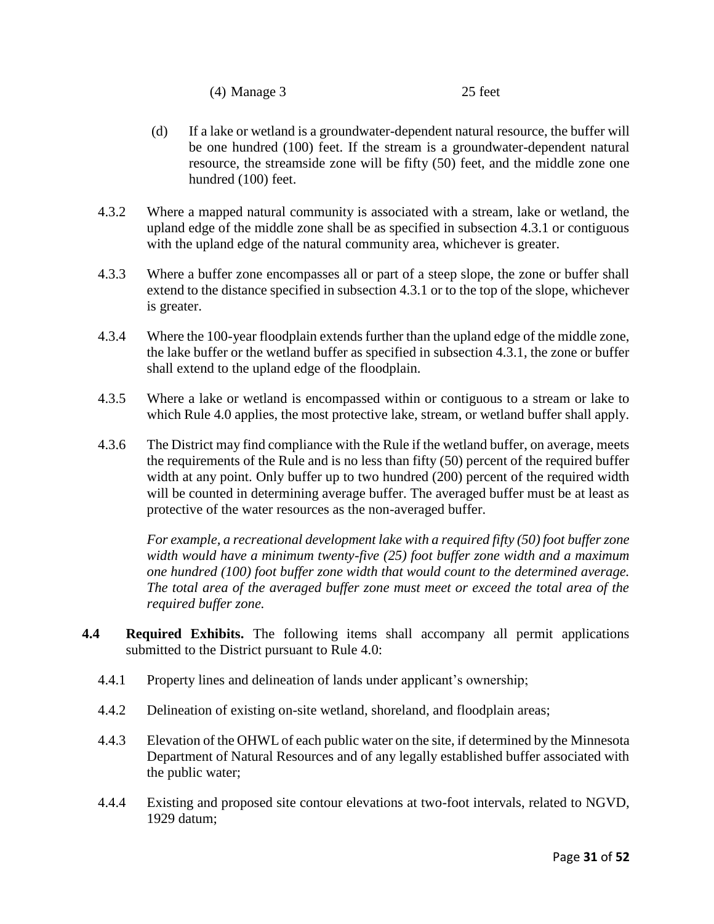(4) Manage 3 25 feet

- (d) If a lake or wetland is a groundwater-dependent natural resource, the buffer will be one hundred (100) feet. If the stream is a groundwater-dependent natural resource, the streamside zone will be fifty (50) feet, and the middle zone one hundred (100) feet.
- 4.3.2 Where a mapped natural community is associated with a stream, lake or wetland, the upland edge of the middle zone shall be as specified in subsection 4.3.1 or contiguous with the upland edge of the natural community area, whichever is greater.
- 4.3.3 Where a buffer zone encompasses all or part of a steep slope, the zone or buffer shall extend to the distance specified in subsection 4.3.1 or to the top of the slope, whichever is greater.
- 4.3.4 Where the 100-year floodplain extends further than the upland edge of the middle zone, the lake buffer or the wetland buffer as specified in subsection 4.3.1, the zone or buffer shall extend to the upland edge of the floodplain.
- 4.3.5 Where a lake or wetland is encompassed within or contiguous to a stream or lake to which Rule 4.0 applies, the most protective lake, stream, or wetland buffer shall apply.
- 4.3.6 The District may find compliance with the Rule if the wetland buffer, on average, meets the requirements of the Rule and is no less than fifty (50) percent of the required buffer width at any point. Only buffer up to two hundred (200) percent of the required width will be counted in determining average buffer. The averaged buffer must be at least as protective of the water resources as the non-averaged buffer.

*For example, a recreational development lake with a required fifty (50) foot buffer zone width would have a minimum twenty-five (25) foot buffer zone width and a maximum one hundred (100) foot buffer zone width that would count to the determined average. The total area of the averaged buffer zone must meet or exceed the total area of the required buffer zone.* 

- **4.4 Required Exhibits.** The following items shall accompany all permit applications submitted to the District pursuant to Rule 4.0:
	- 4.4.1 Property lines and delineation of lands under applicant's ownership;
	- 4.4.2 Delineation of existing on-site wetland, shoreland, and floodplain areas;
	- 4.4.3 Elevation of the OHWL of each public water on the site, if determined by the Minnesota Department of Natural Resources and of any legally established buffer associated with the public water;
	- 4.4.4 Existing and proposed site contour elevations at two-foot intervals, related to NGVD, 1929 datum;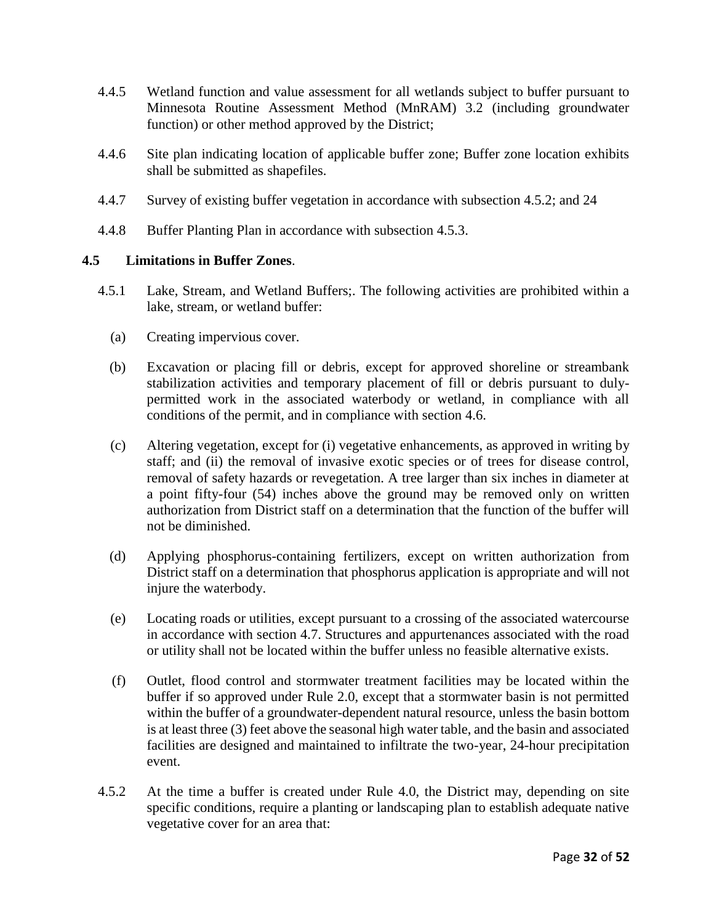- 4.4.5 Wetland function and value assessment for all wetlands subject to buffer pursuant to Minnesota Routine Assessment Method (MnRAM) 3.2 (including groundwater function) or other method approved by the District;
- 4.4.6 Site plan indicating location of applicable buffer zone; Buffer zone location exhibits shall be submitted as shapefiles.
- 4.4.7 Survey of existing buffer vegetation in accordance with subsection 4.5.2; and 24
- 4.4.8 Buffer Planting Plan in accordance with subsection 4.5.3.

#### **4.5 Limitations in Buffer Zones**.

- 4.5.1 Lake, Stream, and Wetland Buffers;. The following activities are prohibited within a lake, stream, or wetland buffer:
	- (a) Creating impervious cover.
	- (b) Excavation or placing fill or debris, except for approved shoreline or streambank stabilization activities and temporary placement of fill or debris pursuant to dulypermitted work in the associated waterbody or wetland, in compliance with all conditions of the permit, and in compliance with section 4.6.
	- (c) Altering vegetation, except for (i) vegetative enhancements, as approved in writing by staff; and (ii) the removal of invasive exotic species or of trees for disease control, removal of safety hazards or revegetation. A tree larger than six inches in diameter at a point fifty-four (54) inches above the ground may be removed only on written authorization from District staff on a determination that the function of the buffer will not be diminished.
	- (d) Applying phosphorus-containing fertilizers, except on written authorization from District staff on a determination that phosphorus application is appropriate and will not injure the waterbody.
	- (e) Locating roads or utilities, except pursuant to a crossing of the associated watercourse in accordance with section 4.7. Structures and appurtenances associated with the road or utility shall not be located within the buffer unless no feasible alternative exists.
	- (f) Outlet, flood control and stormwater treatment facilities may be located within the buffer if so approved under Rule 2.0, except that a stormwater basin is not permitted within the buffer of a groundwater-dependent natural resource, unless the basin bottom is at least three (3) feet above the seasonal high water table, and the basin and associated facilities are designed and maintained to infiltrate the two-year, 24-hour precipitation event.
- 4.5.2 At the time a buffer is created under Rule 4.0, the District may, depending on site specific conditions, require a planting or landscaping plan to establish adequate native vegetative cover for an area that: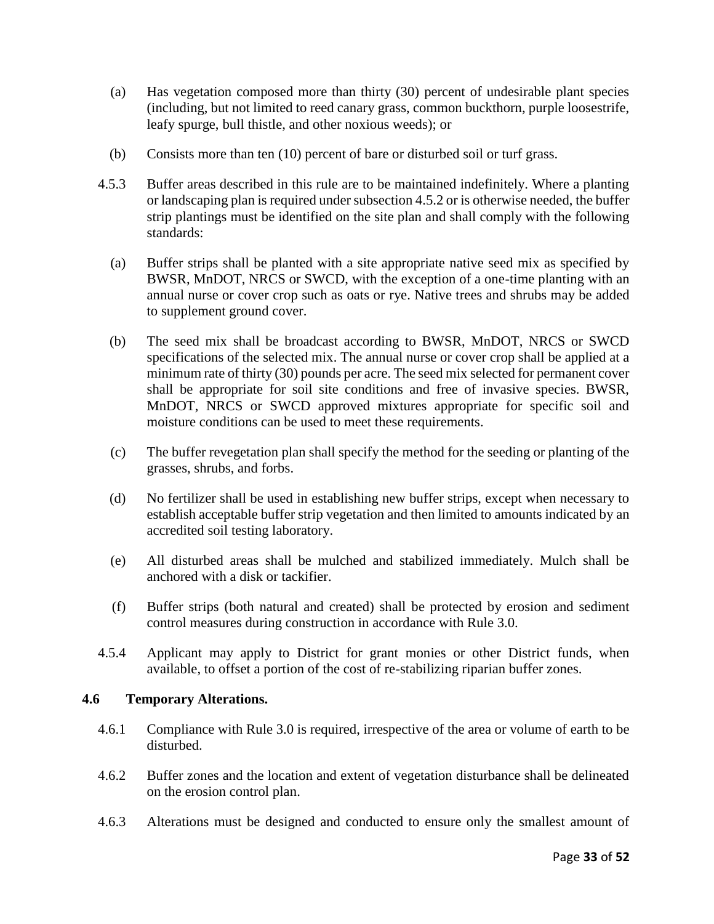- (a) Has vegetation composed more than thirty (30) percent of undesirable plant species (including, but not limited to reed canary grass, common buckthorn, purple loosestrife, leafy spurge, bull thistle, and other noxious weeds); or
- (b) Consists more than ten (10) percent of bare or disturbed soil or turf grass.
- 4.5.3 Buffer areas described in this rule are to be maintained indefinitely. Where a planting or landscaping plan is required under subsection 4.5.2 or is otherwise needed, the buffer strip plantings must be identified on the site plan and shall comply with the following standards:
	- (a) Buffer strips shall be planted with a site appropriate native seed mix as specified by BWSR, MnDOT, NRCS or SWCD, with the exception of a one-time planting with an annual nurse or cover crop such as oats or rye. Native trees and shrubs may be added to supplement ground cover.
	- (b) The seed mix shall be broadcast according to BWSR, MnDOT, NRCS or SWCD specifications of the selected mix. The annual nurse or cover crop shall be applied at a minimum rate of thirty (30) pounds per acre. The seed mix selected for permanent cover shall be appropriate for soil site conditions and free of invasive species. BWSR, MnDOT, NRCS or SWCD approved mixtures appropriate for specific soil and moisture conditions can be used to meet these requirements.
	- (c) The buffer revegetation plan shall specify the method for the seeding or planting of the grasses, shrubs, and forbs.
	- (d) No fertilizer shall be used in establishing new buffer strips, except when necessary to establish acceptable buffer strip vegetation and then limited to amounts indicated by an accredited soil testing laboratory.
	- (e) All disturbed areas shall be mulched and stabilized immediately. Mulch shall be anchored with a disk or tackifier.
	- (f) Buffer strips (both natural and created) shall be protected by erosion and sediment control measures during construction in accordance with Rule 3.0.
- 4.5.4 Applicant may apply to District for grant monies or other District funds, when available, to offset a portion of the cost of re-stabilizing riparian buffer zones.

#### **4.6 Temporary Alterations.**

- 4.6.1 Compliance with Rule 3.0 is required, irrespective of the area or volume of earth to be disturbed.
- 4.6.2 Buffer zones and the location and extent of vegetation disturbance shall be delineated on the erosion control plan.
- 4.6.3 Alterations must be designed and conducted to ensure only the smallest amount of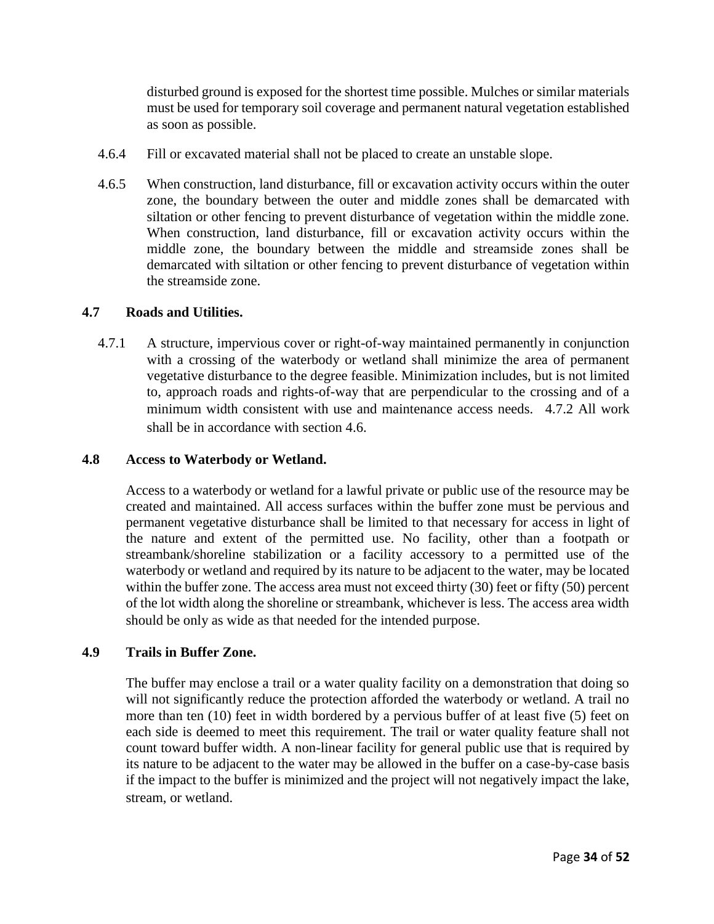disturbed ground is exposed for the shortest time possible. Mulches or similar materials must be used for temporary soil coverage and permanent natural vegetation established as soon as possible.

- 4.6.4 Fill or excavated material shall not be placed to create an unstable slope.
- 4.6.5 When construction, land disturbance, fill or excavation activity occurs within the outer zone, the boundary between the outer and middle zones shall be demarcated with siltation or other fencing to prevent disturbance of vegetation within the middle zone. When construction, land disturbance, fill or excavation activity occurs within the middle zone, the boundary between the middle and streamside zones shall be demarcated with siltation or other fencing to prevent disturbance of vegetation within the streamside zone.

#### **4.7 Roads and Utilities.**

4.7.1 A structure, impervious cover or right-of-way maintained permanently in conjunction with a crossing of the waterbody or wetland shall minimize the area of permanent vegetative disturbance to the degree feasible. Minimization includes, but is not limited to, approach roads and rights-of-way that are perpendicular to the crossing and of a minimum width consistent with use and maintenance access needs. 4.7.2 All work shall be in accordance with section 4.6.

#### **4.8 Access to Waterbody or Wetland.**

Access to a waterbody or wetland for a lawful private or public use of the resource may be created and maintained. All access surfaces within the buffer zone must be pervious and permanent vegetative disturbance shall be limited to that necessary for access in light of the nature and extent of the permitted use. No facility, other than a footpath or streambank/shoreline stabilization or a facility accessory to a permitted use of the waterbody or wetland and required by its nature to be adjacent to the water, may be located within the buffer zone. The access area must not exceed thirty (30) feet or fifty (50) percent of the lot width along the shoreline or streambank, whichever is less. The access area width should be only as wide as that needed for the intended purpose.

### **4.9 Trails in Buffer Zone.**

The buffer may enclose a trail or a water quality facility on a demonstration that doing so will not significantly reduce the protection afforded the waterbody or wetland. A trail no more than ten (10) feet in width bordered by a pervious buffer of at least five (5) feet on each side is deemed to meet this requirement. The trail or water quality feature shall not count toward buffer width. A non-linear facility for general public use that is required by its nature to be adjacent to the water may be allowed in the buffer on a case-by-case basis if the impact to the buffer is minimized and the project will not negatively impact the lake, stream, or wetland.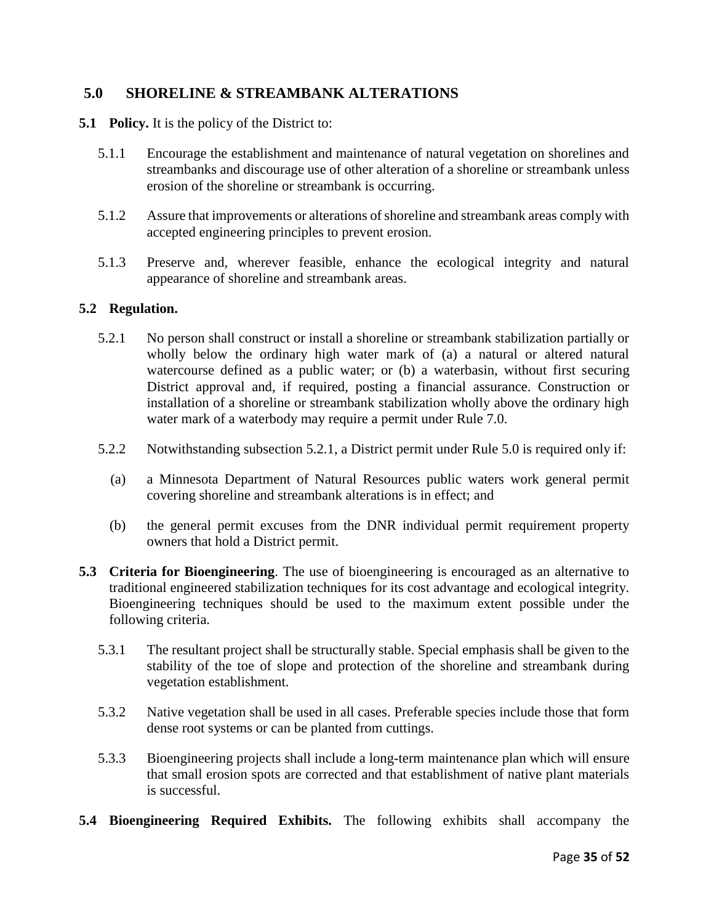## **5.0 SHORELINE & STREAMBANK ALTERATIONS**

- **5.1 Policy.** It is the policy of the District to:
	- 5.1.1 Encourage the establishment and maintenance of natural vegetation on shorelines and streambanks and discourage use of other alteration of a shoreline or streambank unless erosion of the shoreline or streambank is occurring.
	- 5.1.2 Assure that improvements or alterations of shoreline and streambank areas comply with accepted engineering principles to prevent erosion.
	- 5.1.3 Preserve and, wherever feasible, enhance the ecological integrity and natural appearance of shoreline and streambank areas.

#### **5.2 Regulation.**

- 5.2.1 No person shall construct or install a shoreline or streambank stabilization partially or wholly below the ordinary high water mark of (a) a natural or altered natural watercourse defined as a public water; or (b) a waterbasin, without first securing District approval and, if required, posting a financial assurance. Construction or installation of a shoreline or streambank stabilization wholly above the ordinary high water mark of a waterbody may require a permit under Rule 7.0.
- 5.2.2 Notwithstanding subsection 5.2.1, a District permit under Rule 5.0 is required only if:
	- (a) a Minnesota Department of Natural Resources public waters work general permit covering shoreline and streambank alterations is in effect; and
	- (b) the general permit excuses from the DNR individual permit requirement property owners that hold a District permit.
- **5.3 Criteria for Bioengineering**. The use of bioengineering is encouraged as an alternative to traditional engineered stabilization techniques for its cost advantage and ecological integrity. Bioengineering techniques should be used to the maximum extent possible under the following criteria.
	- 5.3.1 The resultant project shall be structurally stable. Special emphasis shall be given to the stability of the toe of slope and protection of the shoreline and streambank during vegetation establishment.
	- 5.3.2 Native vegetation shall be used in all cases. Preferable species include those that form dense root systems or can be planted from cuttings.
	- 5.3.3 Bioengineering projects shall include a long-term maintenance plan which will ensure that small erosion spots are corrected and that establishment of native plant materials is successful.
- **5.4 Bioengineering Required Exhibits.** The following exhibits shall accompany the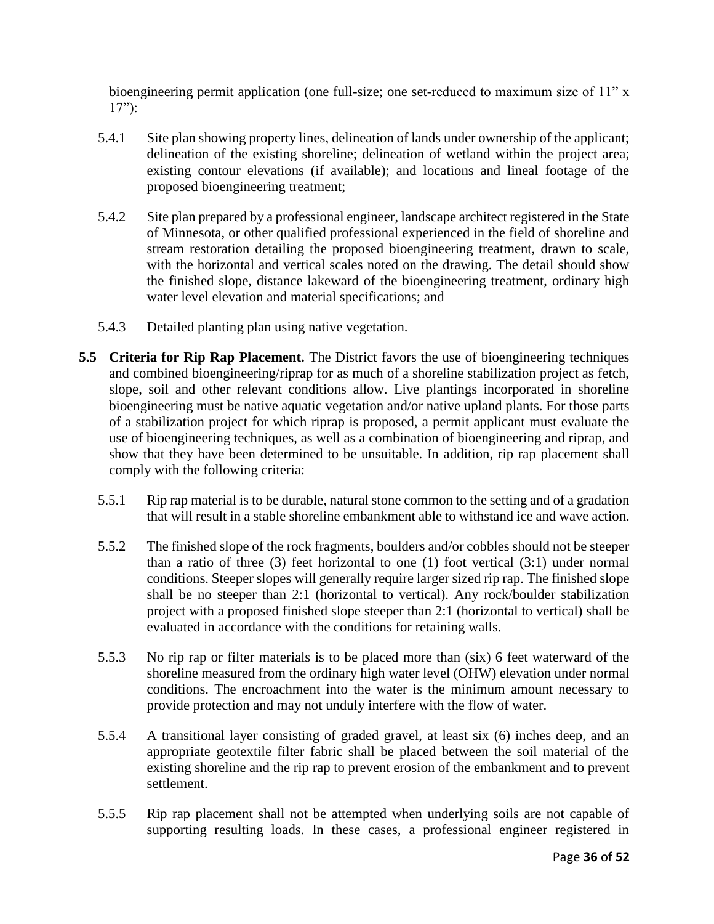bioengineering permit application (one full-size; one set-reduced to maximum size of 11" x  $17"$ :

- 5.4.1 Site plan showing property lines, delineation of lands under ownership of the applicant; delineation of the existing shoreline; delineation of wetland within the project area; existing contour elevations (if available); and locations and lineal footage of the proposed bioengineering treatment;
- 5.4.2 Site plan prepared by a professional engineer, landscape architect registered in the State of Minnesota, or other qualified professional experienced in the field of shoreline and stream restoration detailing the proposed bioengineering treatment, drawn to scale, with the horizontal and vertical scales noted on the drawing. The detail should show the finished slope, distance lakeward of the bioengineering treatment, ordinary high water level elevation and material specifications; and
- 5.4.3 Detailed planting plan using native vegetation.
- **5.5 Criteria for Rip Rap Placement.** The District favors the use of bioengineering techniques and combined bioengineering/riprap for as much of a shoreline stabilization project as fetch, slope, soil and other relevant conditions allow. Live plantings incorporated in shoreline bioengineering must be native aquatic vegetation and/or native upland plants. For those parts of a stabilization project for which riprap is proposed, a permit applicant must evaluate the use of bioengineering techniques, as well as a combination of bioengineering and riprap, and show that they have been determined to be unsuitable. In addition, rip rap placement shall comply with the following criteria:
	- 5.5.1 Rip rap material is to be durable, natural stone common to the setting and of a gradation that will result in a stable shoreline embankment able to withstand ice and wave action.
	- 5.5.2 The finished slope of the rock fragments, boulders and/or cobbles should not be steeper than a ratio of three (3) feet horizontal to one (1) foot vertical (3:1) under normal conditions. Steeper slopes will generally require larger sized rip rap. The finished slope shall be no steeper than 2:1 (horizontal to vertical). Any rock/boulder stabilization project with a proposed finished slope steeper than 2:1 (horizontal to vertical) shall be evaluated in accordance with the conditions for retaining walls.
	- 5.5.3 No rip rap or filter materials is to be placed more than (six) 6 feet waterward of the shoreline measured from the ordinary high water level (OHW) elevation under normal conditions. The encroachment into the water is the minimum amount necessary to provide protection and may not unduly interfere with the flow of water.
	- 5.5.4 A transitional layer consisting of graded gravel, at least six (6) inches deep, and an appropriate geotextile filter fabric shall be placed between the soil material of the existing shoreline and the rip rap to prevent erosion of the embankment and to prevent settlement.
	- 5.5.5 Rip rap placement shall not be attempted when underlying soils are not capable of supporting resulting loads. In these cases, a professional engineer registered in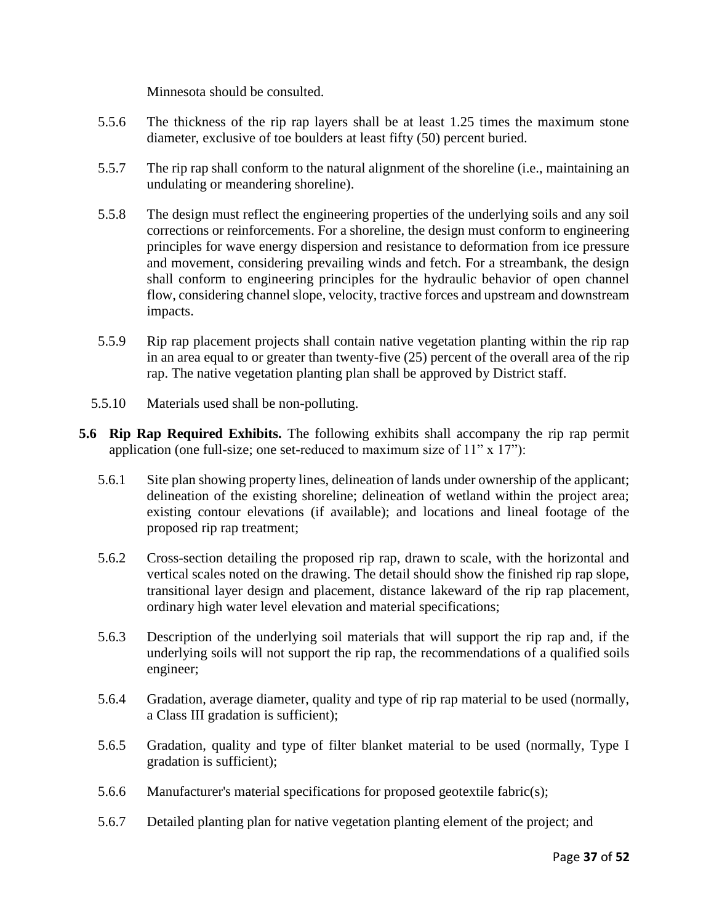Minnesota should be consulted.

- 5.5.6 The thickness of the rip rap layers shall be at least 1.25 times the maximum stone diameter, exclusive of toe boulders at least fifty (50) percent buried.
- 5.5.7 The rip rap shall conform to the natural alignment of the shoreline (i.e., maintaining an undulating or meandering shoreline).
- 5.5.8 The design must reflect the engineering properties of the underlying soils and any soil corrections or reinforcements. For a shoreline, the design must conform to engineering principles for wave energy dispersion and resistance to deformation from ice pressure and movement, considering prevailing winds and fetch. For a streambank, the design shall conform to engineering principles for the hydraulic behavior of open channel flow, considering channel slope, velocity, tractive forces and upstream and downstream impacts.
- 5.5.9 Rip rap placement projects shall contain native vegetation planting within the rip rap in an area equal to or greater than twenty-five (25) percent of the overall area of the rip rap. The native vegetation planting plan shall be approved by District staff.
- 5.5.10 Materials used shall be non-polluting.
- **5.6 Rip Rap Required Exhibits.** The following exhibits shall accompany the rip rap permit application (one full-size; one set-reduced to maximum size of  $11$ " x  $17$ "):
	- 5.6.1 Site plan showing property lines, delineation of lands under ownership of the applicant; delineation of the existing shoreline; delineation of wetland within the project area; existing contour elevations (if available); and locations and lineal footage of the proposed rip rap treatment;
	- 5.6.2 Cross-section detailing the proposed rip rap, drawn to scale, with the horizontal and vertical scales noted on the drawing. The detail should show the finished rip rap slope, transitional layer design and placement, distance lakeward of the rip rap placement, ordinary high water level elevation and material specifications;
	- 5.6.3 Description of the underlying soil materials that will support the rip rap and, if the underlying soils will not support the rip rap, the recommendations of a qualified soils engineer;
	- 5.6.4 Gradation, average diameter, quality and type of rip rap material to be used (normally, a Class III gradation is sufficient);
	- 5.6.5 Gradation, quality and type of filter blanket material to be used (normally, Type I gradation is sufficient);
	- 5.6.6 Manufacturer's material specifications for proposed geotextile fabric(s);
	- 5.6.7 Detailed planting plan for native vegetation planting element of the project; and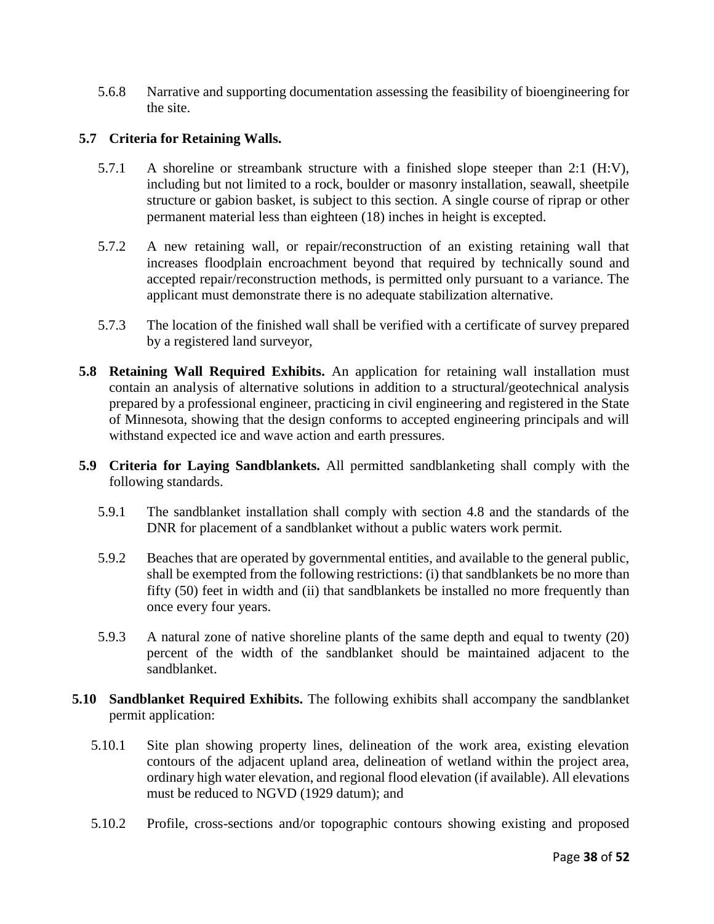5.6.8 Narrative and supporting documentation assessing the feasibility of bioengineering for the site.

### **5.7 Criteria for Retaining Walls.**

- 5.7.1 A shoreline or streambank structure with a finished slope steeper than 2:1 (H:V), including but not limited to a rock, boulder or masonry installation, seawall, sheetpile structure or gabion basket, is subject to this section. A single course of riprap or other permanent material less than eighteen (18) inches in height is excepted.
- 5.7.2 A new retaining wall, or repair/reconstruction of an existing retaining wall that increases floodplain encroachment beyond that required by technically sound and accepted repair/reconstruction methods, is permitted only pursuant to a variance. The applicant must demonstrate there is no adequate stabilization alternative.
- 5.7.3 The location of the finished wall shall be verified with a certificate of survey prepared by a registered land surveyor,
- **5.8 Retaining Wall Required Exhibits.** An application for retaining wall installation must contain an analysis of alternative solutions in addition to a structural/geotechnical analysis prepared by a professional engineer, practicing in civil engineering and registered in the State of Minnesota, showing that the design conforms to accepted engineering principals and will withstand expected ice and wave action and earth pressures.
- **5.9 Criteria for Laying Sandblankets.** All permitted sandblanketing shall comply with the following standards.
	- 5.9.1 The sandblanket installation shall comply with section 4.8 and the standards of the DNR for placement of a sandblanket without a public waters work permit.
	- 5.9.2 Beaches that are operated by governmental entities, and available to the general public, shall be exempted from the following restrictions: (i) that sandblankets be no more than fifty (50) feet in width and (ii) that sandblankets be installed no more frequently than once every four years.
	- 5.9.3 A natural zone of native shoreline plants of the same depth and equal to twenty (20) percent of the width of the sandblanket should be maintained adjacent to the sandblanket.
- **5.10 Sandblanket Required Exhibits.** The following exhibits shall accompany the sandblanket permit application:
	- 5.10.1 Site plan showing property lines, delineation of the work area, existing elevation contours of the adjacent upland area, delineation of wetland within the project area, ordinary high water elevation, and regional flood elevation (if available). All elevations must be reduced to NGVD (1929 datum); and
	- 5.10.2 Profile, cross-sections and/or topographic contours showing existing and proposed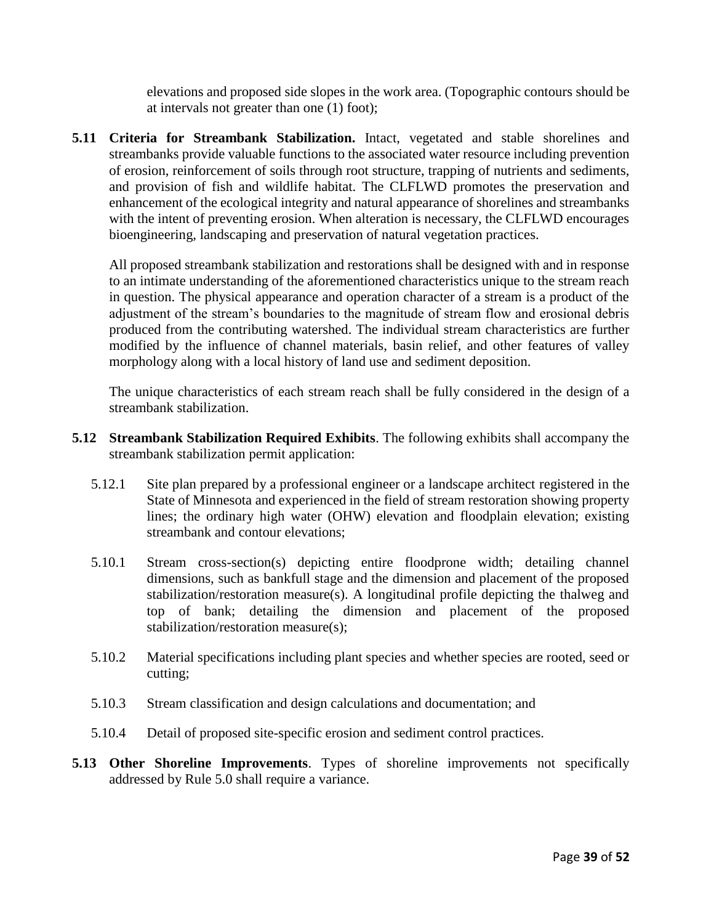elevations and proposed side slopes in the work area. (Topographic contours should be at intervals not greater than one (1) foot);

**5.11 Criteria for Streambank Stabilization.** Intact, vegetated and stable shorelines and streambanks provide valuable functions to the associated water resource including prevention of erosion, reinforcement of soils through root structure, trapping of nutrients and sediments, and provision of fish and wildlife habitat. The CLFLWD promotes the preservation and enhancement of the ecological integrity and natural appearance of shorelines and streambanks with the intent of preventing erosion. When alteration is necessary, the CLFLWD encourages bioengineering, landscaping and preservation of natural vegetation practices.

All proposed streambank stabilization and restorations shall be designed with and in response to an intimate understanding of the aforementioned characteristics unique to the stream reach in question. The physical appearance and operation character of a stream is a product of the adjustment of the stream's boundaries to the magnitude of stream flow and erosional debris produced from the contributing watershed. The individual stream characteristics are further modified by the influence of channel materials, basin relief, and other features of valley morphology along with a local history of land use and sediment deposition.

The unique characteristics of each stream reach shall be fully considered in the design of a streambank stabilization.

- **5.12 Streambank Stabilization Required Exhibits**. The following exhibits shall accompany the streambank stabilization permit application:
	- 5.12.1 Site plan prepared by a professional engineer or a landscape architect registered in the State of Minnesota and experienced in the field of stream restoration showing property lines; the ordinary high water (OHW) elevation and floodplain elevation; existing streambank and contour elevations;
	- 5.10.1 Stream cross-section(s) depicting entire floodprone width; detailing channel dimensions, such as bankfull stage and the dimension and placement of the proposed stabilization/restoration measure(s). A longitudinal profile depicting the thalweg and top of bank; detailing the dimension and placement of the proposed stabilization/restoration measure(s);
	- 5.10.2 Material specifications including plant species and whether species are rooted, seed or cutting;
	- 5.10.3 Stream classification and design calculations and documentation; and
	- 5.10.4 Detail of proposed site-specific erosion and sediment control practices.
- **5.13 Other Shoreline Improvements**. Types of shoreline improvements not specifically addressed by Rule 5.0 shall require a variance.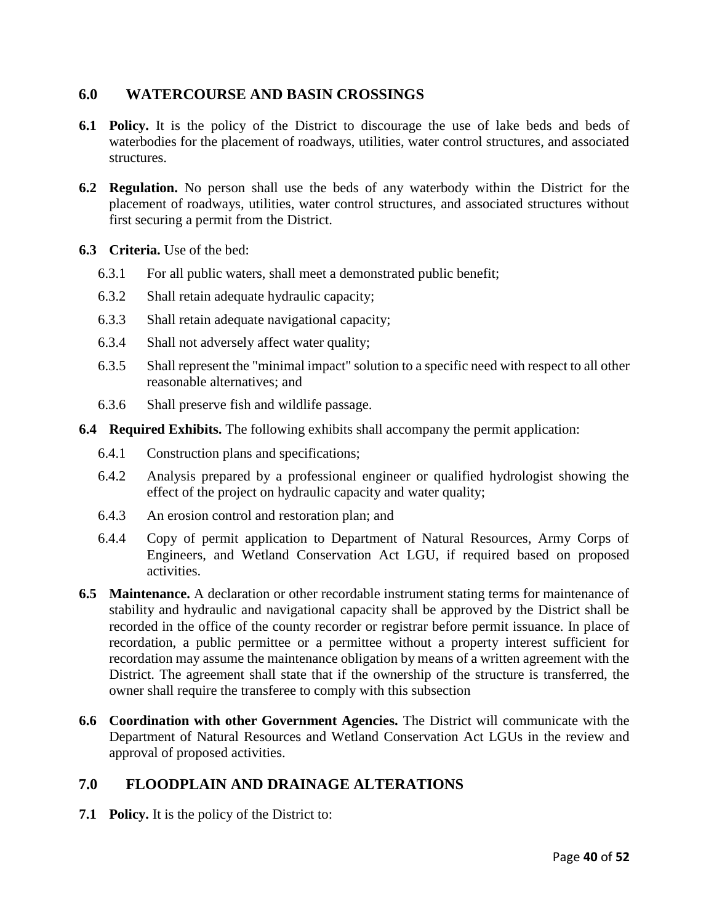## **6.0 WATERCOURSE AND BASIN CROSSINGS**

- **6.1 Policy.** It is the policy of the District to discourage the use of lake beds and beds of waterbodies for the placement of roadways, utilities, water control structures, and associated structures.
- **6.2 Regulation.** No person shall use the beds of any waterbody within the District for the placement of roadways, utilities, water control structures, and associated structures without first securing a permit from the District.
- **6.3 Criteria.** Use of the bed:
	- 6.3.1 For all public waters, shall meet a demonstrated public benefit;
	- 6.3.2 Shall retain adequate hydraulic capacity;
	- 6.3.3 Shall retain adequate navigational capacity;
	- 6.3.4 Shall not adversely affect water quality;
	- 6.3.5 Shall represent the "minimal impact" solution to a specific need with respect to all other reasonable alternatives; and
	- 6.3.6 Shall preserve fish and wildlife passage.
- **6.4 Required Exhibits.** The following exhibits shall accompany the permit application:
	- 6.4.1 Construction plans and specifications;
	- 6.4.2 Analysis prepared by a professional engineer or qualified hydrologist showing the effect of the project on hydraulic capacity and water quality;
	- 6.4.3 An erosion control and restoration plan; and
	- 6.4.4 Copy of permit application to Department of Natural Resources, Army Corps of Engineers, and Wetland Conservation Act LGU, if required based on proposed activities.
- **6.5 Maintenance.** A declaration or other recordable instrument stating terms for maintenance of stability and hydraulic and navigational capacity shall be approved by the District shall be recorded in the office of the county recorder or registrar before permit issuance. In place of recordation, a public permittee or a permittee without a property interest sufficient for recordation may assume the maintenance obligation by means of a written agreement with the District. The agreement shall state that if the ownership of the structure is transferred, the owner shall require the transferee to comply with this subsection
- **6.6 Coordination with other Government Agencies.** The District will communicate with the Department of Natural Resources and Wetland Conservation Act LGUs in the review and approval of proposed activities.

## **7.0 FLOODPLAIN AND DRAINAGE ALTERATIONS**

**7.1 Policy.** It is the policy of the District to: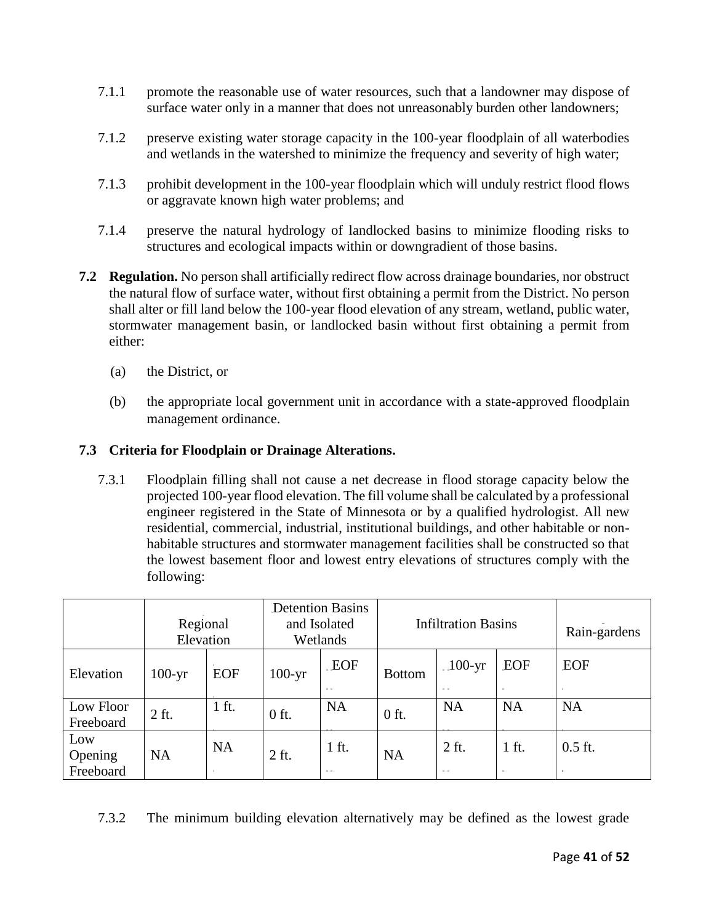- 7.1.1 promote the reasonable use of water resources, such that a landowner may dispose of surface water only in a manner that does not unreasonably burden other landowners;
- 7.1.2 preserve existing water storage capacity in the 100-year floodplain of all waterbodies and wetlands in the watershed to minimize the frequency and severity of high water;
- 7.1.3 prohibit development in the 100-year floodplain which will unduly restrict flood flows or aggravate known high water problems; and
- 7.1.4 preserve the natural hydrology of landlocked basins to minimize flooding risks to structures and ecological impacts within or downgradient of those basins.
- **7.2 Regulation.** No person shall artificially redirect flow across drainage boundaries, nor obstruct the natural flow of surface water, without first obtaining a permit from the District. No person shall alter or fill land below the 100-year flood elevation of any stream, wetland, public water, stormwater management basin, or landlocked basin without first obtaining a permit from either:
	- (a) the District, or
	- (b) the appropriate local government unit in accordance with a state-approved floodplain management ordinance.

#### **7.3 Criteria for Floodplain or Drainage Alterations.**

7.3.1 Floodplain filling shall not cause a net decrease in flood storage capacity below the projected 100-year flood elevation. The fill volume shall be calculated by a professional engineer registered in the State of Minnesota or by a qualified hydrologist. All new residential, commercial, industrial, institutional buildings, and other habitable or nonhabitable structures and stormwater management facilities shall be constructed so that the lowest basement floor and lowest entry elevations of structures comply with the following:

|                             | Regional<br>Elevation |                 | <b>Detention Basins</b><br>and Isolated<br>Wetlands |                         | <b>Infiltration Basins</b> |                       |               | Rain-gardens |
|-----------------------------|-----------------------|-----------------|-----------------------------------------------------|-------------------------|----------------------------|-----------------------|---------------|--------------|
| Elevation                   | $100-yr$              | <b>EOF</b>      | $100-yr$                                            | <b>EOF</b><br>$\sim 10$ | <b>Bottom</b>              | $100-yr$<br>$\sim 10$ | EOF           | EOF          |
| Low Floor<br>Freeboard      | 2 ft.                 | $1$ ft.         | $0$ ft.                                             | <b>NA</b>               | $0$ ft.                    | <b>NA</b>             | <b>NA</b>     | <b>NA</b>    |
| Low<br>Opening<br>Freeboard | <b>NA</b>             | <b>NA</b><br>m. | 2 ft.                                               | 1 ft.<br>10, 10,        | <b>NA</b>                  | 2 ft.<br>$\sim 10$    | $1$ ft.<br>п. | $0.5$ ft.    |

7.3.2 The minimum building elevation alternatively may be defined as the lowest grade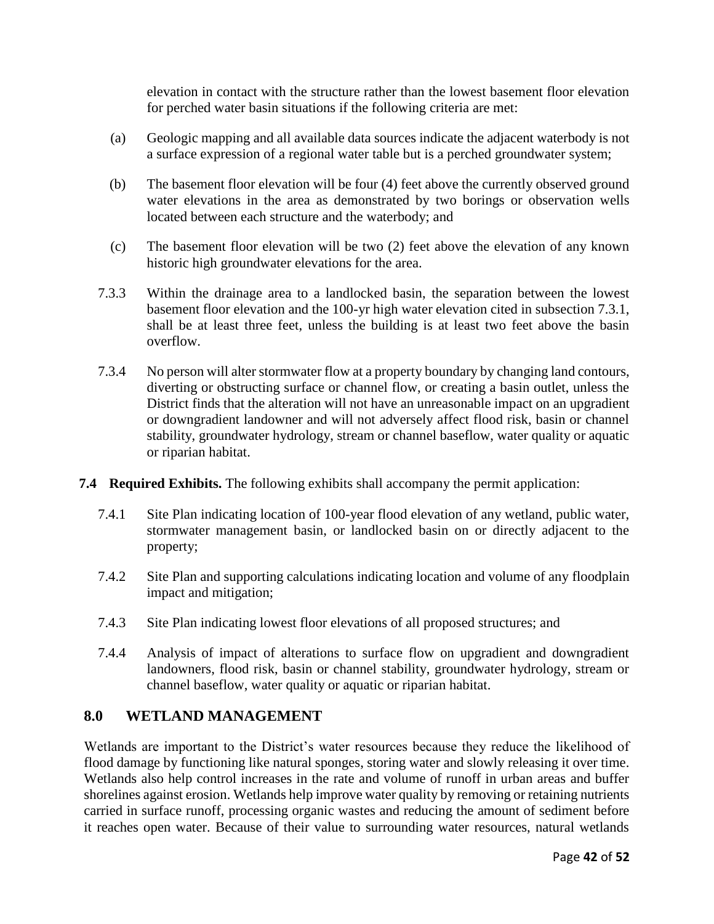elevation in contact with the structure rather than the lowest basement floor elevation for perched water basin situations if the following criteria are met:

- (a) Geologic mapping and all available data sources indicate the adjacent waterbody is not a surface expression of a regional water table but is a perched groundwater system;
- (b) The basement floor elevation will be four (4) feet above the currently observed ground water elevations in the area as demonstrated by two borings or observation wells located between each structure and the waterbody; and
- (c) The basement floor elevation will be two (2) feet above the elevation of any known historic high groundwater elevations for the area.
- 7.3.3 Within the drainage area to a landlocked basin, the separation between the lowest basement floor elevation and the 100-yr high water elevation cited in subsection 7.3.1, shall be at least three feet, unless the building is at least two feet above the basin overflow.
- 7.3.4 No person will alter stormwater flow at a property boundary by changing land contours, diverting or obstructing surface or channel flow, or creating a basin outlet, unless the District finds that the alteration will not have an unreasonable impact on an upgradient or downgradient landowner and will not adversely affect flood risk, basin or channel stability, groundwater hydrology, stream or channel baseflow, water quality or aquatic or riparian habitat.
- **7.4 Required Exhibits.** The following exhibits shall accompany the permit application:
	- 7.4.1 Site Plan indicating location of 100-year flood elevation of any wetland, public water, stormwater management basin, or landlocked basin on or directly adjacent to the property;
	- 7.4.2 Site Plan and supporting calculations indicating location and volume of any floodplain impact and mitigation;
	- 7.4.3 Site Plan indicating lowest floor elevations of all proposed structures; and
	- 7.4.4 Analysis of impact of alterations to surface flow on upgradient and downgradient landowners, flood risk, basin or channel stability, groundwater hydrology, stream or channel baseflow, water quality or aquatic or riparian habitat.

### **8.0 WETLAND MANAGEMENT**

Wetlands are important to the District's water resources because they reduce the likelihood of flood damage by functioning like natural sponges, storing water and slowly releasing it over time. Wetlands also help control increases in the rate and volume of runoff in urban areas and buffer shorelines against erosion. Wetlands help improve water quality by removing or retaining nutrients carried in surface runoff, processing organic wastes and reducing the amount of sediment before it reaches open water. Because of their value to surrounding water resources, natural wetlands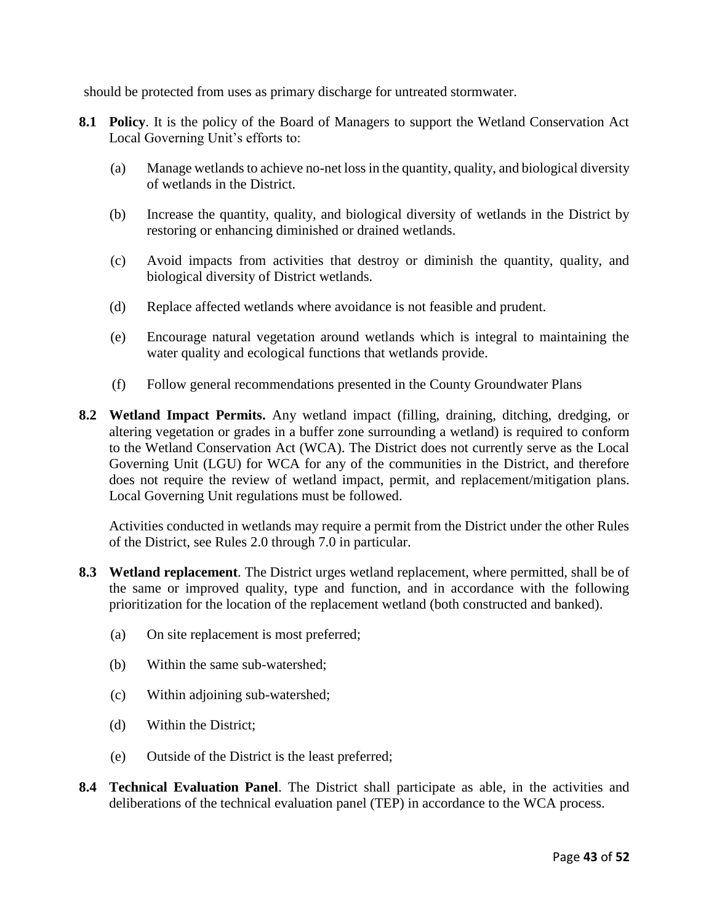should be protected from uses as primary discharge for untreated stormwater.

- **8.1 Policy**. It is the policy of the Board of Managers to support the Wetland Conservation Act Local Governing Unit's efforts to:
	- (a) Manage wetlands to achieve no-net loss in the quantity, quality, and biological diversity of wetlands in the District.
	- (b) Increase the quantity, quality, and biological diversity of wetlands in the District by restoring or enhancing diminished or drained wetlands.
	- (c) Avoid impacts from activities that destroy or diminish the quantity, quality, and biological diversity of District wetlands.
	- (d) Replace affected wetlands where avoidance is not feasible and prudent.
	- (e) Encourage natural vegetation around wetlands which is integral to maintaining the water quality and ecological functions that wetlands provide.
	- (f) Follow general recommendations presented in the County Groundwater Plans
- **8.2 Wetland Impact Permits.** Any wetland impact (filling, draining, ditching, dredging, or altering vegetation or grades in a buffer zone surrounding a wetland) is required to conform to the Wetland Conservation Act (WCA). The District does not currently serve as the Local Governing Unit (LGU) for WCA for any of the communities in the District, and therefore does not require the review of wetland impact, permit, and replacement/mitigation plans. Local Governing Unit regulations must be followed.

Activities conducted in wetlands may require a permit from the District under the other Rules of the District, see Rules 2.0 through 7.0 in particular.

- **8.3 Wetland replacement**. The District urges wetland replacement, where permitted, shall be of the same or improved quality, type and function, and in accordance with the following prioritization for the location of the replacement wetland (both constructed and banked).
	- (a) On site replacement is most preferred;
	- (b) Within the same sub-watershed;
	- (c) Within adjoining sub-watershed;
	- (d) Within the District;
	- (e) Outside of the District is the least preferred;
- **8.4 Technical Evaluation Panel**. The District shall participate as able, in the activities and deliberations of the technical evaluation panel (TEP) in accordance to the WCA process.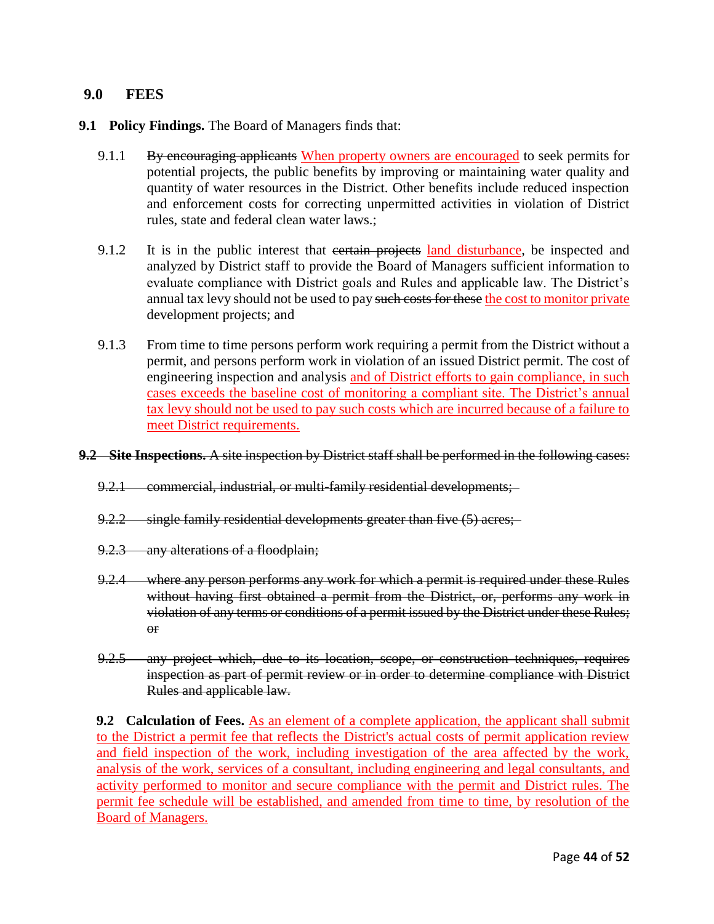#### **9.0 FEES**

- **9.1 Policy Findings.** The Board of Managers finds that:
	- 9.1.1 By encouraging applicants When property owners are encouraged to seek permits for potential projects, the public benefits by improving or maintaining water quality and quantity of water resources in the District. Other benefits include reduced inspection and enforcement costs for correcting unpermitted activities in violation of District rules, state and federal clean water laws.;
	- 9.1.2 It is in the public interest that extrain projects land disturbance, be inspected and analyzed by District staff to provide the Board of Managers sufficient information to evaluate compliance with District goals and Rules and applicable law. The District's annual tax levy should not be used to pay such costs for these the cost to monitor private development projects; and
	- 9.1.3 From time to time persons perform work requiring a permit from the District without a permit, and persons perform work in violation of an issued District permit. The cost of engineering inspection and analysis and of District efforts to gain compliance, in such cases exceeds the baseline cost of monitoring a compliant site. The District's annual tax levy should not be used to pay such costs which are incurred because of a failure to meet District requirements.
- **9.2 Site Inspections.** A site inspection by District staff shall be performed in the following cases:
	- 9.2.1 commercial, industrial, or multi-family residential developments;
	- 9.2.2 single family residential developments greater than five (5) acres;
	- 9.2.3 any alterations of a floodplain;
	- 9.2.4 where any person performs any work for which a permit is required under these Rules without having first obtained a permit from the District, or, performs any work in violation of any terms or conditions of a permit issued by the District under these Rules; or
	- 9.2.5 any project which, due to its location, scope, or construction techniques, requires inspection as part of permit review or in order to determine compliance with District Rules and applicable law.

**9.2 Calculation of Fees.** As an element of a complete application, the applicant shall submit to the District a permit fee that reflects the District's actual costs of permit application review and field inspection of the work, including investigation of the area affected by the work, analysis of the work, services of a consultant, including engineering and legal consultants, and activity performed to monitor and secure compliance with the permit and District rules. The permit fee schedule will be established, and amended from time to time, by resolution of the Board of Managers.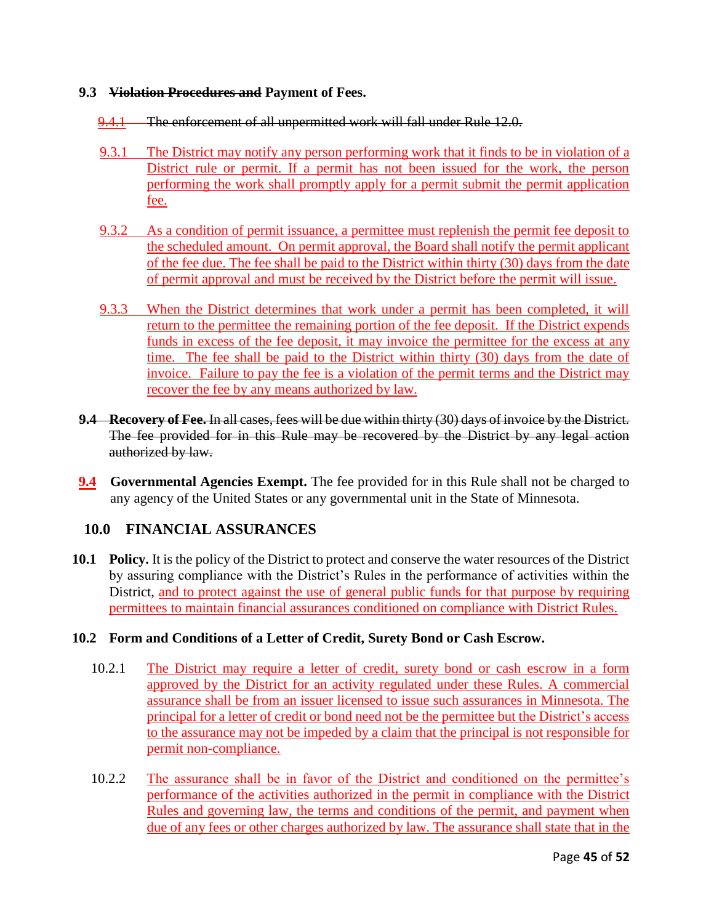#### **9.3 Violation Procedures and Payment of Fees.**

- 9.4.1 The enforcement of all unpermitted work will fall under Rule 12.0.
- 9.3.1 The District may notify any person performing work that it finds to be in violation of a District rule or permit. If a permit has not been issued for the work, the person performing the work shall promptly apply for a permit submit the permit application fee.
- 9.3.2 As a condition of permit issuance, a permittee must replenish the permit fee deposit to the scheduled amount. On permit approval, the Board shall notify the permit applicant of the fee due. The fee shall be paid to the District within thirty (30) days from the date of permit approval and must be received by the District before the permit will issue.
- 9.3.3 When the District determines that work under a permit has been completed, it will return to the permittee the remaining portion of the fee deposit. If the District expends funds in excess of the fee deposit, it may invoice the permittee for the excess at any time. The fee shall be paid to the District within thirty (30) days from the date of invoice. Failure to pay the fee is a violation of the permit terms and the District may recover the fee by any means authorized by law.
- **9.4 Recovery of Fee.** In all cases, fees will be due within thirty (30) days of invoice by the District. The fee provided for in this Rule may be recovered by the District by any legal action authorized by law.
- **9.4 Governmental Agencies Exempt.** The fee provided for in this Rule shall not be charged to any agency of the United States or any governmental unit in the State of Minnesota.

## **10.0 FINANCIAL ASSURANCES**

**10.1 Policy.** It is the policy of the District to protect and conserve the water resources of the District by assuring compliance with the District's Rules in the performance of activities within the District, and to protect against the use of general public funds for that purpose by requiring permittees to maintain financial assurances conditioned on compliance with District Rules.

### **10.2 Form and Conditions of a Letter of Credit, Surety Bond or Cash Escrow.**

- 10.2.1 The District may require a letter of credit, surety bond or cash escrow in a form approved by the District for an activity regulated under these Rules. A commercial assurance shall be from an issuer licensed to issue such assurances in Minnesota. The principal for a letter of credit or bond need not be the permittee but the District's access to the assurance may not be impeded by a claim that the principal is not responsible for permit non-compliance.
- 10.2.2 The assurance shall be in favor of the District and conditioned on the permittee's performance of the activities authorized in the permit in compliance with the District Rules and governing law, the terms and conditions of the permit, and payment when due of any fees or other charges authorized by law. The assurance shall state that in the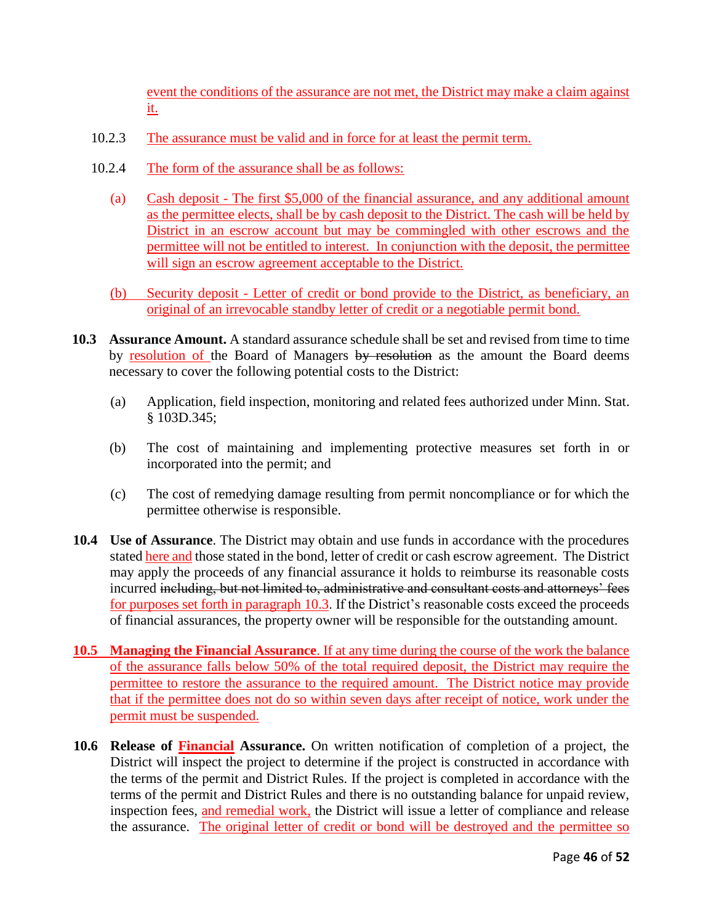event the conditions of the assurance are not met, the District may make a claim against it.

- 10.2.3 The assurance must be valid and in force for at least the permit term.
- 10.2.4 The form of the assurance shall be as follows:
	- (a) Cash deposit The first \$5,000 of the financial assurance, and any additional amount as the permittee elects, shall be by cash deposit to the District. The cash will be held by District in an escrow account but may be commingled with other escrows and the permittee will not be entitled to interest. In conjunction with the deposit, the permittee will sign an escrow agreement acceptable to the District.
	- (b) Security deposit Letter of credit or bond provide to the District, as beneficiary, an original of an irrevocable standby letter of credit or a negotiable permit bond.
- **10.3 Assurance Amount.** A standard assurance schedule shall be set and revised from time to time by resolution of the Board of Managers by resolution as the amount the Board deems necessary to cover the following potential costs to the District:
	- (a) Application, field inspection, monitoring and related fees authorized under Minn. Stat. § 103D.345;
	- (b) The cost of maintaining and implementing protective measures set forth in or incorporated into the permit; and
	- (c) The cost of remedying damage resulting from permit noncompliance or for which the permittee otherwise is responsible.
- **10.4 Use of Assurance**. The District may obtain and use funds in accordance with the procedures stated here and those stated in the bond, letter of credit or cash escrow agreement. The District may apply the proceeds of any financial assurance it holds to reimburse its reasonable costs incurred including, but not limited to, administrative and consultant costs and attorneys' fees for purposes set forth in paragraph 10.3. If the District's reasonable costs exceed the proceeds of financial assurances, the property owner will be responsible for the outstanding amount.
- **10.5 Managing the Financial Assurance**. If at any time during the course of the work the balance of the assurance falls below 50% of the total required deposit, the District may require the permittee to restore the assurance to the required amount. The District notice may provide that if the permittee does not do so within seven days after receipt of notice, work under the permit must be suspended.
- **10.6 Release of Financial Assurance.** On written notification of completion of a project, the District will inspect the project to determine if the project is constructed in accordance with the terms of the permit and District Rules. If the project is completed in accordance with the terms of the permit and District Rules and there is no outstanding balance for unpaid review, inspection fees, and remedial work, the District will issue a letter of compliance and release the assurance. The original letter of credit or bond will be destroyed and the permittee so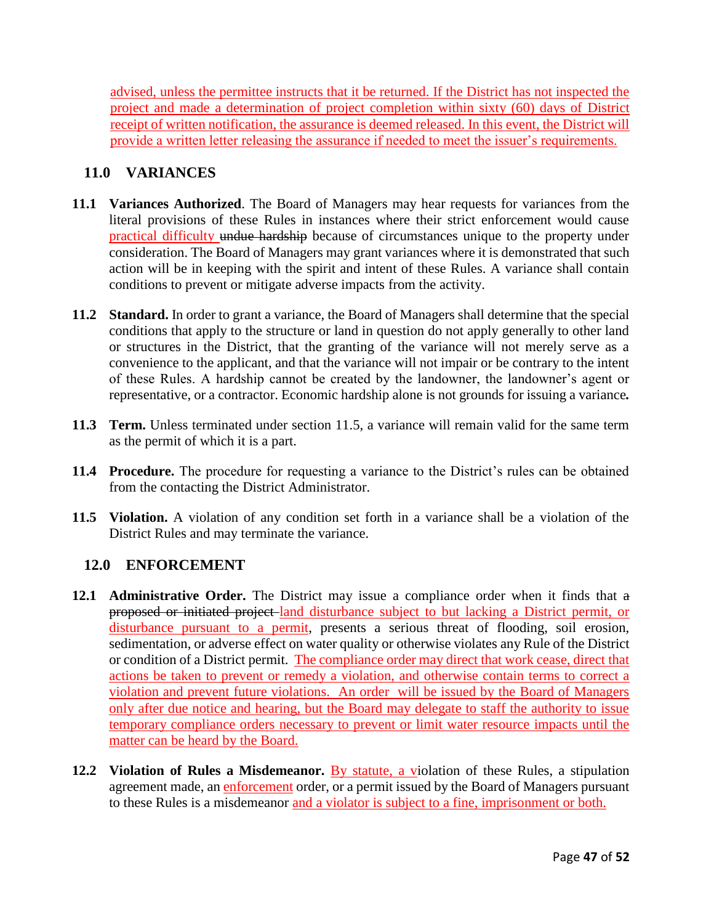advised, unless the permittee instructs that it be returned. If the District has not inspected the project and made a determination of project completion within sixty (60) days of District receipt of written notification, the assurance is deemed released. In this event, the District will provide a written letter releasing the assurance if needed to meet the issuer's requirements.

## **11.0 VARIANCES**

- **11.1 Variances Authorized**. The Board of Managers may hear requests for variances from the literal provisions of these Rules in instances where their strict enforcement would cause practical difficulty undue hardship because of circumstances unique to the property under consideration. The Board of Managers may grant variances where it is demonstrated that such action will be in keeping with the spirit and intent of these Rules. A variance shall contain conditions to prevent or mitigate adverse impacts from the activity.
- **11.2 Standard.** In order to grant a variance, the Board of Managers shall determine that the special conditions that apply to the structure or land in question do not apply generally to other land or structures in the District, that the granting of the variance will not merely serve as a convenience to the applicant, and that the variance will not impair or be contrary to the intent of these Rules. A hardship cannot be created by the landowner, the landowner's agent or representative, or a contractor. Economic hardship alone is not grounds for issuing a variance*.*
- **11.3 Term.** Unless terminated under section 11.5, a variance will remain valid for the same term as the permit of which it is a part.
- **11.4 Procedure.** The procedure for requesting a variance to the District's rules can be obtained from the contacting the District Administrator.
- **11.5 Violation.** A violation of any condition set forth in a variance shall be a violation of the District Rules and may terminate the variance.

## **12.0 ENFORCEMENT**

- **12.1 Administrative Order.** The District may issue a compliance order when it finds that a proposed or initiated project land disturbance subject to but lacking a District permit, or disturbance pursuant to a permit, presents a serious threat of flooding, soil erosion, sedimentation, or adverse effect on water quality or otherwise violates any Rule of the District or condition of a District permit. The compliance order may direct that work cease, direct that actions be taken to prevent or remedy a violation, and otherwise contain terms to correct a violation and prevent future violations. An order will be issued by the Board of Managers only after due notice and hearing, but the Board may delegate to staff the authority to issue temporary compliance orders necessary to prevent or limit water resource impacts until the matter can be heard by the Board.
- **12.2 Violation of Rules a Misdemeanor.** By statute, a violation of these Rules, a stipulation agreement made, an enforcement order, or a permit issued by the Board of Managers pursuant to these Rules is a misdemeanor and a violator is subject to a fine, imprisonment or both.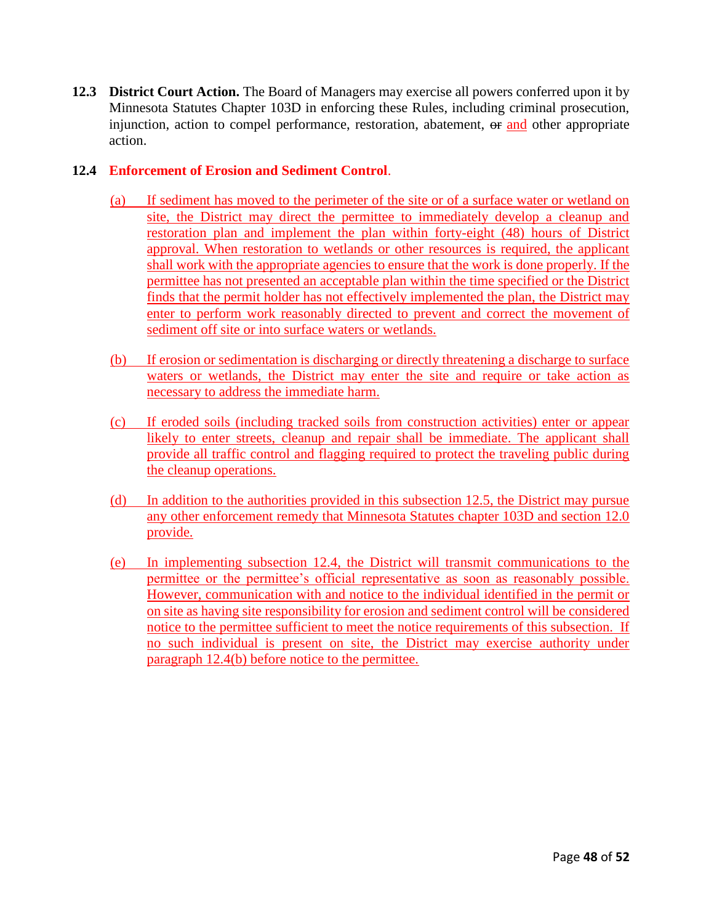**12.3 District Court Action.** The Board of Managers may exercise all powers conferred upon it by Minnesota Statutes Chapter 103D in enforcing these Rules, including criminal prosecution, injunction, action to compel performance, restoration, abatement, or and other appropriate action.

### **12.4 Enforcement of Erosion and Sediment Control**.

- (a) If sediment has moved to the perimeter of the site or of a surface water or wetland on site, the District may direct the permittee to immediately develop a cleanup and restoration plan and implement the plan within forty-eight (48) hours of District approval. When restoration to wetlands or other resources is required, the applicant shall work with the appropriate agencies to ensure that the work is done properly. If the permittee has not presented an acceptable plan within the time specified or the District finds that the permit holder has not effectively implemented the plan, the District may enter to perform work reasonably directed to prevent and correct the movement of sediment off site or into surface waters or wetlands.
- (b) If erosion or sedimentation is discharging or directly threatening a discharge to surface waters or wetlands, the District may enter the site and require or take action as necessary to address the immediate harm.
- (c) If eroded soils (including tracked soils from construction activities) enter or appear likely to enter streets, cleanup and repair shall be immediate. The applicant shall provide all traffic control and flagging required to protect the traveling public during the cleanup operations.
- (d) In addition to the authorities provided in this subsection 12.5, the District may pursue any other enforcement remedy that Minnesota Statutes chapter 103D and section 12.0 provide.
- (e) In implementing subsection 12.4, the District will transmit communications to the permittee or the permittee's official representative as soon as reasonably possible. However, communication with and notice to the individual identified in the permit or on site as having site responsibility for erosion and sediment control will be considered notice to the permittee sufficient to meet the notice requirements of this subsection. If no such individual is present on site, the District may exercise authority under paragraph 12.4(b) before notice to the permittee.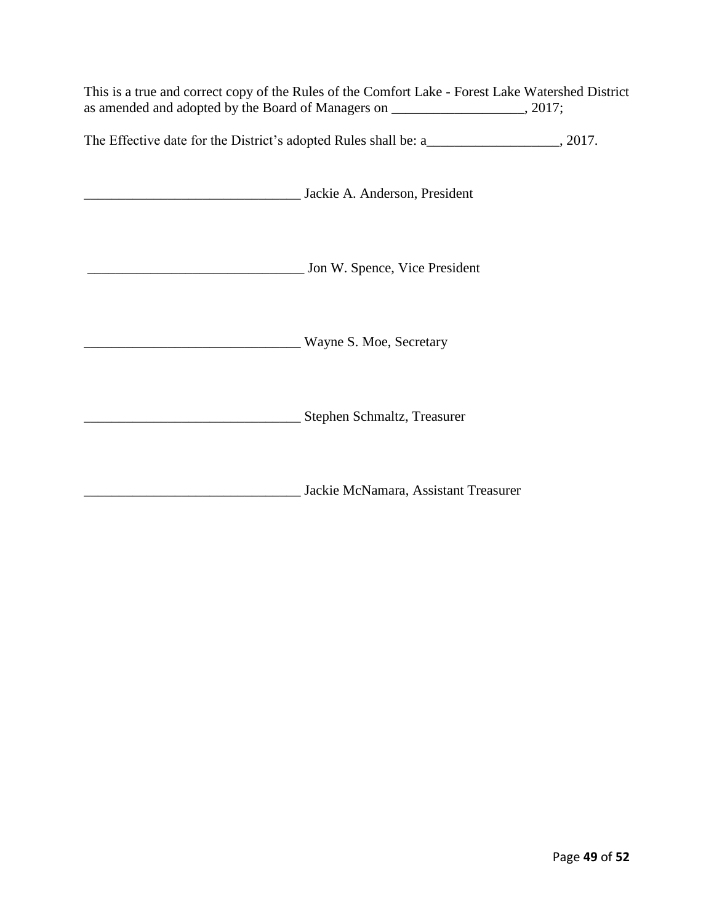This is a true and correct copy of the Rules of the Comfort Lake - Forest Lake Watershed District as amended and adopted by the Board of Managers on \_\_\_\_\_\_\_\_\_\_\_\_\_\_\_\_\_\_\_, 2017;

The Effective date for the District's adopted Rules shall be: a\_\_\_\_\_\_\_\_\_\_\_\_\_\_\_\_\_\_, 2017.

| Jackie A. Anderson, President        |
|--------------------------------------|
| Jon W. Spence, Vice President        |
| Wayne S. Moe, Secretary              |
| Stephen Schmaltz, Treasurer          |
| Jackie McNamara, Assistant Treasurer |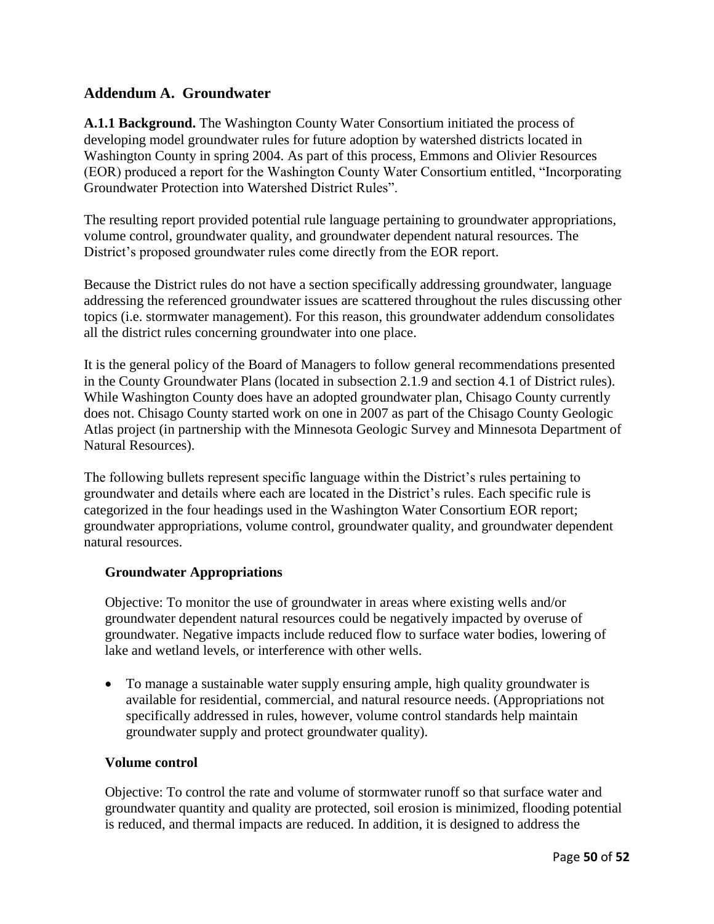## **Addendum A. Groundwater**

**A.1.1 Background.** The Washington County Water Consortium initiated the process of developing model groundwater rules for future adoption by watershed districts located in Washington County in spring 2004. As part of this process, Emmons and Olivier Resources (EOR) produced a report for the Washington County Water Consortium entitled, "Incorporating Groundwater Protection into Watershed District Rules".

The resulting report provided potential rule language pertaining to groundwater appropriations, volume control, groundwater quality, and groundwater dependent natural resources. The District's proposed groundwater rules come directly from the EOR report.

Because the District rules do not have a section specifically addressing groundwater, language addressing the referenced groundwater issues are scattered throughout the rules discussing other topics (i.e. stormwater management). For this reason, this groundwater addendum consolidates all the district rules concerning groundwater into one place.

It is the general policy of the Board of Managers to follow general recommendations presented in the County Groundwater Plans (located in subsection 2.1.9 and section 4.1 of District rules). While Washington County does have an adopted groundwater plan, Chisago County currently does not. Chisago County started work on one in 2007 as part of the Chisago County Geologic Atlas project (in partnership with the Minnesota Geologic Survey and Minnesota Department of Natural Resources).

The following bullets represent specific language within the District's rules pertaining to groundwater and details where each are located in the District's rules. Each specific rule is categorized in the four headings used in the Washington Water Consortium EOR report; groundwater appropriations, volume control, groundwater quality, and groundwater dependent natural resources.

#### **Groundwater Appropriations**

Objective: To monitor the use of groundwater in areas where existing wells and/or groundwater dependent natural resources could be negatively impacted by overuse of groundwater. Negative impacts include reduced flow to surface water bodies, lowering of lake and wetland levels, or interference with other wells.

 To manage a sustainable water supply ensuring ample, high quality groundwater is available for residential, commercial, and natural resource needs. (Appropriations not specifically addressed in rules, however, volume control standards help maintain groundwater supply and protect groundwater quality).

#### **Volume control**

Objective: To control the rate and volume of stormwater runoff so that surface water and groundwater quantity and quality are protected, soil erosion is minimized, flooding potential is reduced, and thermal impacts are reduced. In addition, it is designed to address the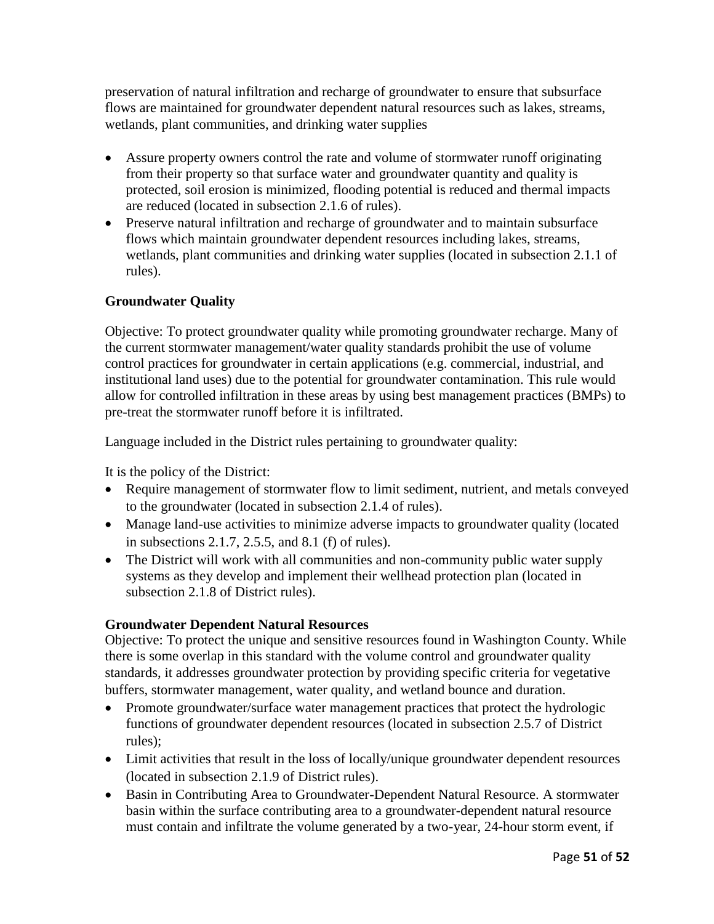preservation of natural infiltration and recharge of groundwater to ensure that subsurface flows are maintained for groundwater dependent natural resources such as lakes, streams, wetlands, plant communities, and drinking water supplies

- Assure property owners control the rate and volume of stormwater runoff originating from their property so that surface water and groundwater quantity and quality is protected, soil erosion is minimized, flooding potential is reduced and thermal impacts are reduced (located in subsection 2.1.6 of rules).
- Preserve natural infiltration and recharge of groundwater and to maintain subsurface flows which maintain groundwater dependent resources including lakes, streams, wetlands, plant communities and drinking water supplies (located in subsection 2.1.1 of rules).

## **Groundwater Quality**

Objective: To protect groundwater quality while promoting groundwater recharge. Many of the current stormwater management/water quality standards prohibit the use of volume control practices for groundwater in certain applications (e.g. commercial, industrial, and institutional land uses) due to the potential for groundwater contamination. This rule would allow for controlled infiltration in these areas by using best management practices (BMPs) to pre-treat the stormwater runoff before it is infiltrated.

Language included in the District rules pertaining to groundwater quality:

It is the policy of the District:

- Require management of stormwater flow to limit sediment, nutrient, and metals conveyed to the groundwater (located in subsection 2.1.4 of rules).
- Manage land-use activities to minimize adverse impacts to groundwater quality (located in subsections 2.1.7, 2.5.5, and 8.1 (f) of rules).
- The District will work with all communities and non-community public water supply systems as they develop and implement their wellhead protection plan (located in subsection 2.1.8 of District rules).

### **Groundwater Dependent Natural Resources**

Objective: To protect the unique and sensitive resources found in Washington County. While there is some overlap in this standard with the volume control and groundwater quality standards, it addresses groundwater protection by providing specific criteria for vegetative buffers, stormwater management, water quality, and wetland bounce and duration.

- Promote groundwater/surface water management practices that protect the hydrologic functions of groundwater dependent resources (located in subsection 2.5.7 of District rules);
- Limit activities that result in the loss of locally/unique groundwater dependent resources (located in subsection 2.1.9 of District rules).
- Basin in Contributing Area to Groundwater-Dependent Natural Resource. A stormwater basin within the surface contributing area to a groundwater-dependent natural resource must contain and infiltrate the volume generated by a two-year, 24-hour storm event, if